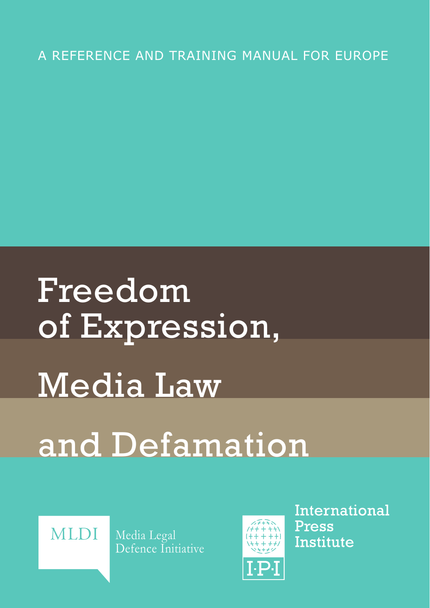# A REFERENCE AND TRAINING MANUAL FOR EUROPE

Freedom of Expression, Media Law and Defamation



Media Legal Defence Initiative



International **Press** Institute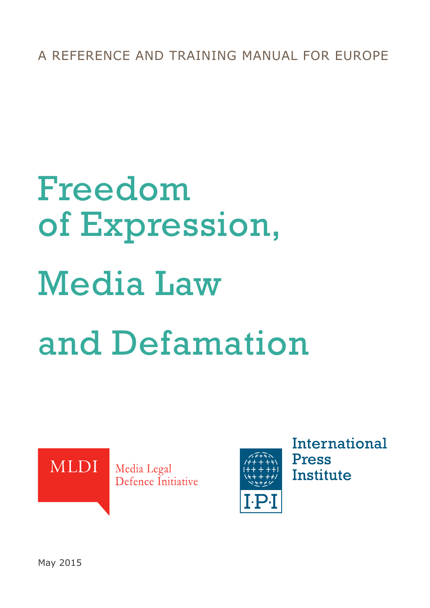A REFERENCE AND TRAINING MANUAL FOR EUROPE

# Freedom of Expression, Media Law and Defamation





**International Press Institute** 

May 2015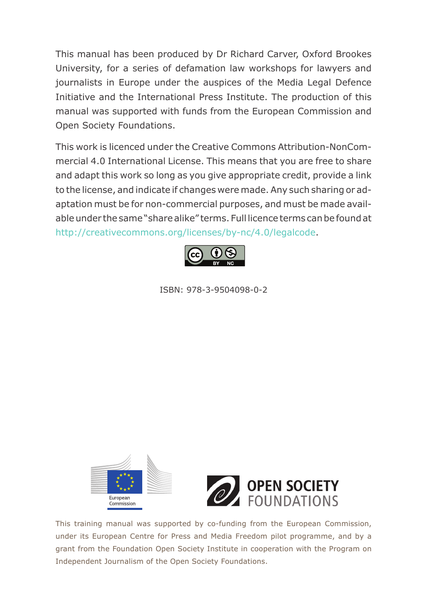This manual has been produced by Dr Richard Carver, Oxford Brookes University, for a series of defamation law workshops for lawyers and journalists in Europe under the auspices of the Media Legal Defence Initiative and the International Press Institute. The production of this manual was supported with funds from the European Commission and Open Society Foundations.

This work is licenced under the Creative Commons Attribution-NonCommercial 4.0 International License. This means that you are free to share and adapt this work so long as you give appropriate credit, provide a link to the license, and indicate if changes were made. Any such sharing or adaptation must be for non-commercial purposes, and must be made available under the same "share alike" terms. Full licence terms can be found at http://creativecommons.org/licenses/by-nc/4.0/legalcode.



ISBN: 978-3-9504098-0-2





This training manual was supported by co-funding from the European Commission, under its European Centre for Press and Media Freedom pilot programme, and by a grant from the Foundation Open Society Institute in cooperation with the Program on Independent Journalism of the Open Society Foundations.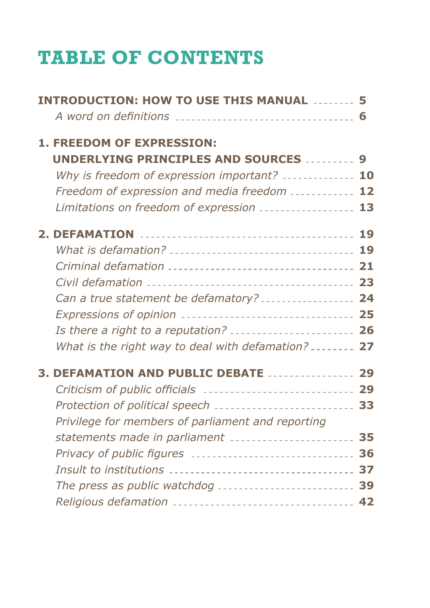# **TABLE OF CONTENTS**

| <b>INTRODUCTION: HOW TO USE THIS MANUAL  5</b>               |  |
|--------------------------------------------------------------|--|
| A word on definitions ________________________________ 6     |  |
| 1. FREEDOM OF EXPRESSION:                                    |  |
| UNDERLYING PRINCIPLES AND SOURCES  9                         |  |
| Why is freedom of expression important?  10                  |  |
| Freedom of expression and media freedom  12                  |  |
| Limitations on freedom of expression  13                     |  |
|                                                              |  |
|                                                              |  |
|                                                              |  |
|                                                              |  |
| Can a true statement be defamatory?  24                      |  |
| Expressions of opinion ________________________________ 25   |  |
| Is there a right to a reputation?  26                        |  |
| What is the right way to deal with defamation?  27           |  |
| 3. DEFAMATION AND PUBLIC DEBATE  29                          |  |
| Criticism of public officials  29                            |  |
| Protection of political speech __________________________ 33 |  |
| Privilege for members of parliament and reporting            |  |
| statements made in parliament [111] [11] statements 35       |  |
| Privacy of public figures  36                                |  |
|                                                              |  |
| The press as public watchdog  39                             |  |
| Religious defamation _________________________________ 42    |  |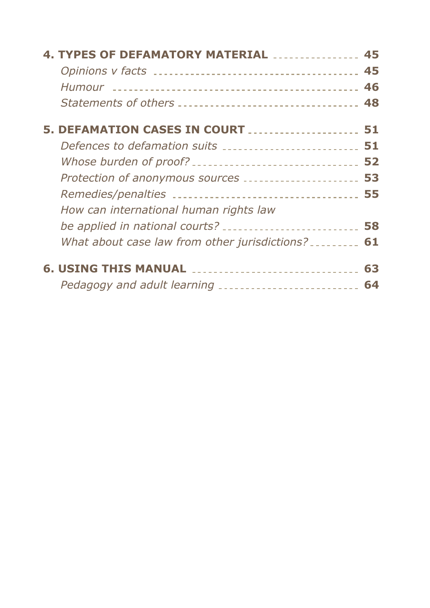| <b>4. TYPES OF DEFAMATORY MATERIAL  45</b>                |    |
|-----------------------------------------------------------|----|
|                                                           |    |
|                                                           |    |
|                                                           |    |
| 5. DEFAMATION CASES IN COURT  51                          |    |
| Defences to defamation suits  51                          |    |
|                                                           |    |
| Protection of anonymous sources  53                       |    |
|                                                           |    |
| How can international human rights law                    |    |
| be applied in national courts?  58                        |    |
| What about case law from other jurisdictions? ________ 61 |    |
|                                                           |    |
| Pedagogy and adult learning __________________________    | 64 |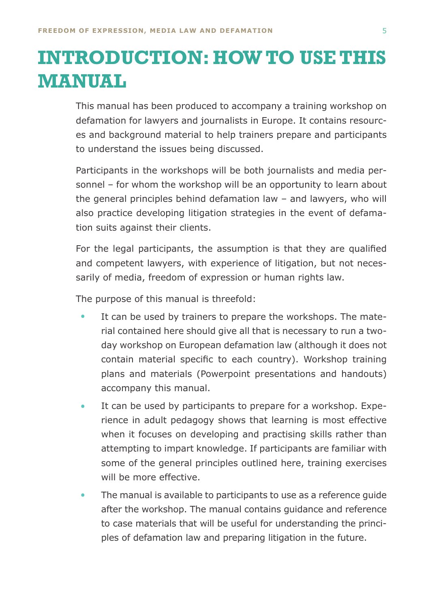# <span id="page-5-0"></span>**INTRODUCTION: HOW TO USE THIS MANUAL**

This manual has been produced to accompany a training workshop on defamation for lawyers and journalists in Europe. It contains resources and background material to help trainers prepare and participants to understand the issues being discussed.

Participants in the workshops will be both journalists and media personnel – for whom the workshop will be an opportunity to learn about the general principles behind defamation law – and lawyers, who will also practice developing litigation strategies in the event of defamation suits against their clients.

For the legal participants, the assumption is that they are qualified and competent lawyers, with experience of litigation, but not necessarily of media, freedom of expression or human rights law.

The purpose of this manual is threefold:

- It can be used by trainers to prepare the workshops. The material contained here should give all that is necessary to run a twoday workshop on European defamation law (although it does not contain material specific to each country). Workshop training plans and materials (Powerpoint presentations and handouts) accompany this manual. •
- It can be used by participants to prepare for a workshop. Experience in adult pedagogy shows that learning is most effective when it focuses on developing and practising skills rather than attempting to impart knowledge. If participants are familiar with some of the general principles outlined here, training exercises will be more effective. •
- The manual is available to participants to use as a reference guide after the workshop. The manual contains guidance and reference to case materials that will be useful for understanding the principles of defamation law and preparing litigation in the future. •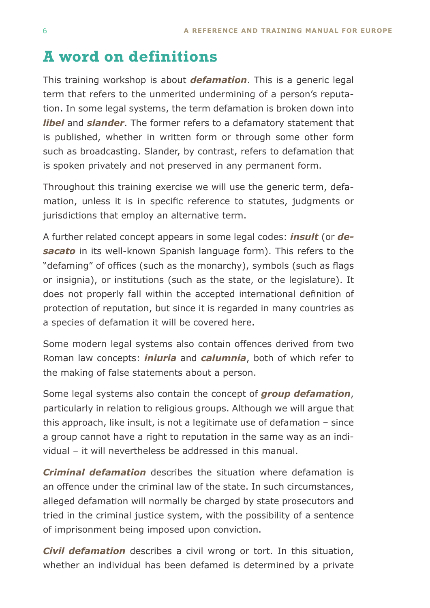# <span id="page-6-0"></span>**A word on definitions**

This training workshop is about *defamation*. This is a generic legal term that refers to the unmerited undermining of a person's reputation. In some legal systems, the term defamation is broken down into *libel* and *slander*. The former refers to a defamatory statement that is published, whether in written form or through some other form such as broadcasting. Slander, by contrast, refers to defamation that is spoken privately and not preserved in any permanent form.

Throughout this training exercise we will use the generic term, defamation, unless it is in specific reference to statutes, judgments or jurisdictions that employ an alternative term.

A further related concept appears in some legal codes: *insult* (or *desacato* in its well-known Spanish language form). This refers to the "defaming" of offices (such as the monarchy), symbols (such as flags or insignia), or institutions (such as the state, or the legislature). It does not properly fall within the accepted international definition of protection of reputation, but since it is regarded in many countries as a species of defamation it will be covered here.

Some modern legal systems also contain offences derived from two Roman law concepts: *iniuria* and *calumnia*, both of which refer to the making of false statements about a person.

Some legal systems also contain the concept of *group defamation*, particularly in relation to religious groups. Although we will argue that this approach, like insult, is not a legitimate use of defamation – since a group cannot have a right to reputation in the same way as an individual – it will nevertheless be addressed in this manual.

*Criminal defamation* describes the situation where defamation is an offence under the criminal law of the state. In such circumstances, alleged defamation will normally be charged by state prosecutors and tried in the criminal justice system, with the possibility of a sentence of imprisonment being imposed upon conviction.

*Civil defamation* describes a civil wrong or tort. In this situation, whether an individual has been defamed is determined by a private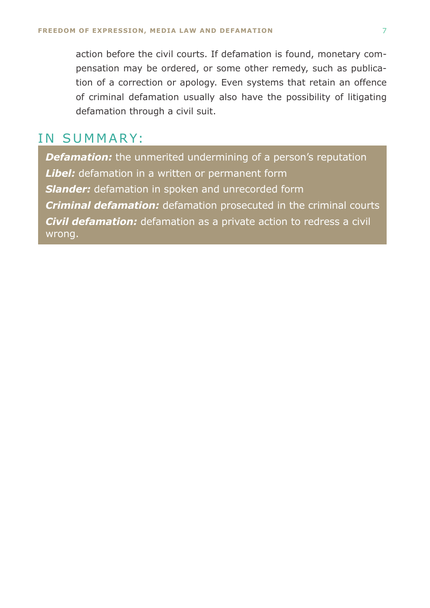action before the civil courts. If defamation is found, monetary compensation may be ordered, or some other remedy, such as publication of a correction or apology. Even systems that retain an offence of criminal defamation usually also have the possibility of litigating defamation through a civil suit.

### IN SUMMARY:

**Defamation:** the unmerited undermining of a person's reputation *Libel:* defamation in a written or permanent form *Slander:* defamation in spoken and unrecorded form *Criminal defamation:* defamation prosecuted in the criminal courts *Civil defamation:* defamation as a private action to redress a civil wrong.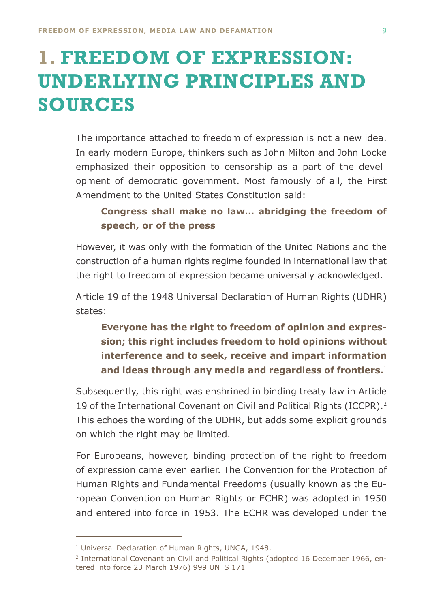# <span id="page-8-0"></span>**1. FREEDOM OF EXPRESSION: UNDERLYING PRINCIPLES AND SOURCES**

The importance attached to freedom of expression is not a new idea. In early modern Europe, thinkers such as John Milton and John Locke emphasized their opposition to censorship as a part of the development of democratic government. Most famously of all, the First Amendment to the United States Constitution said:

### **Congress shall make no law… abridging the freedom of speech, or of the press**

However, it was only with the formation of the United Nations and the construction of a human rights regime founded in international law that the right to freedom of expression became universally acknowledged.

Article 19 of the 1948 Universal Declaration of Human Rights (UDHR) states:

**Everyone has the right to freedom of opinion and expression; this right includes freedom to hold opinions without interference and to seek, receive and impart information and ideas through any media and regardless of frontiers.**<sup>1</sup>

Subsequently, this right was enshrined in binding treaty law in Article 19 of the International Covenant on Civil and Political Rights (ICCPR).<sup>2</sup> This echoes the wording of the UDHR, but adds some explicit grounds on which the right may be limited.

For Europeans, however, binding protection of the right to freedom of expression came even earlier. The Convention for the Protection of Human Rights and Fundamental Freedoms (usually known as the European Convention on Human Rights or ECHR) was adopted in 1950 and entered into force in 1953. The ECHR was developed under the

<sup>&</sup>lt;sup>1</sup> Universal Declaration of Human Rights, UNGA, 1948.

<sup>2</sup> International Covenant on Civil and Political Rights (adopted 16 December 1966, entered into force 23 March 1976) 999 UNTS 171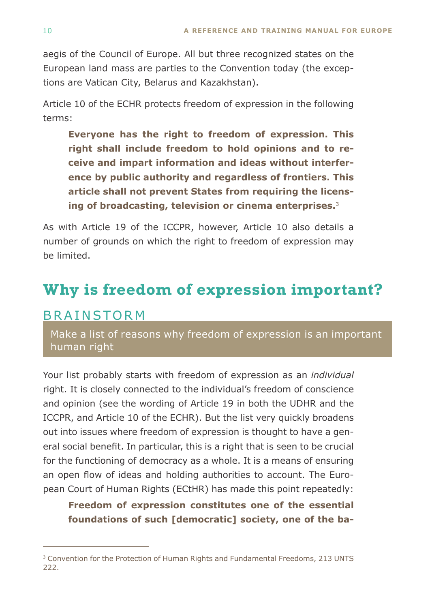<span id="page-9-0"></span>aegis of the Council of Europe. All but three recognized states on the European land mass are parties to the Convention today (the exceptions are Vatican City, Belarus and Kazakhstan).

Article 10 of the ECHR protects freedom of expression in the following terms:

**Everyone has the right to freedom of expression. This right shall include freedom to hold opinions and to receive and impart information and ideas without interference by public authority and regardless of frontiers. This article shall not prevent States from requiring the licensing of broadcasting, television or cinema enterprises.**<sup>3</sup>

As with Article 19 of the ICCPR, however, Article 10 also details a number of grounds on which the right to freedom of expression may be limited.

# **Why is freedom of expression important?**

### **BRAINSTORM**

Make a list of reasons why freedom of expression is an important human right

Your list probably starts with freedom of expression as an *individual* right. It is closely connected to the individual's freedom of conscience and opinion (see the wording of Article 19 in both the UDHR and the ICCPR, and Article 10 of the ECHR). But the list very quickly broadens out into issues where freedom of expression is thought to have a general social benefit. In particular, this is a right that is seen to be crucial for the functioning of democracy as a whole. It is a means of ensuring an open flow of ideas and holding authorities to account. The European Court of Human Rights (ECtHR) has made this point repeatedly:

**Freedom of expression constitutes one of the essential foundations of such [democratic] society, one of the ba-**

<sup>3</sup> Convention for the Protection of Human Rights and Fundamental Freedoms, 213 UNTS 222.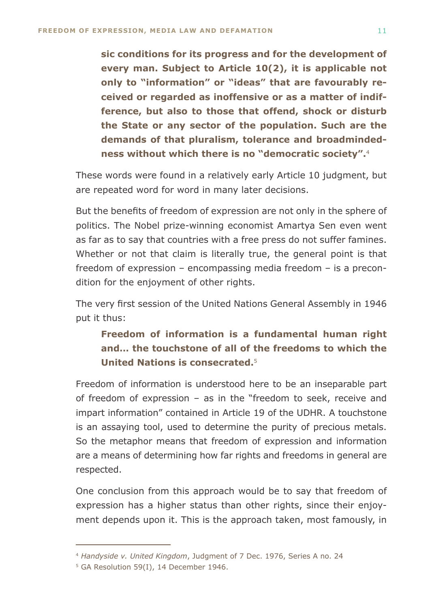**sic conditions for its progress and for the development of every man. Subject to Article 10(2), it is applicable not only to "information" or "ideas" that are favourably received or regarded as inoffensive or as a matter of indifference, but also to those that offend, shock or disturb the State or any sector of the population. Such are the demands of that pluralism, tolerance and broadmindedness without which there is no "democratic society".**<sup>4</sup>

These words were found in a relatively early Article 10 judgment, but are repeated word for word in many later decisions.

But the benefits of freedom of expression are not only in the sphere of politics. The Nobel prize-winning economist Amartya Sen even went as far as to say that countries with a free press do not suffer famines. Whether or not that claim is literally true, the general point is that freedom of expression – encompassing media freedom – is a precondition for the enjoyment of other rights.

The very first session of the United Nations General Assembly in 1946 put it thus:

### **Freedom of information is a fundamental human right and… the touchstone of all of the freedoms to which the United Nations is consecrated.**<sup>5</sup>

Freedom of information is understood here to be an inseparable part of freedom of expression – as in the "freedom to seek, receive and impart information" contained in Article 19 of the UDHR. A touchstone is an assaying tool, used to determine the purity of precious metals. So the metaphor means that freedom of expression and information are a means of determining how far rights and freedoms in general are respected.

One conclusion from this approach would be to say that freedom of expression has a higher status than other rights, since their enjoyment depends upon it. This is the approach taken, most famously, in

<sup>4</sup> *Handyside v. United Kingdom*, Judgment of 7 Dec. 1976, Series A no. 24

<sup>5</sup> GA Resolution 59(I), 14 December 1946.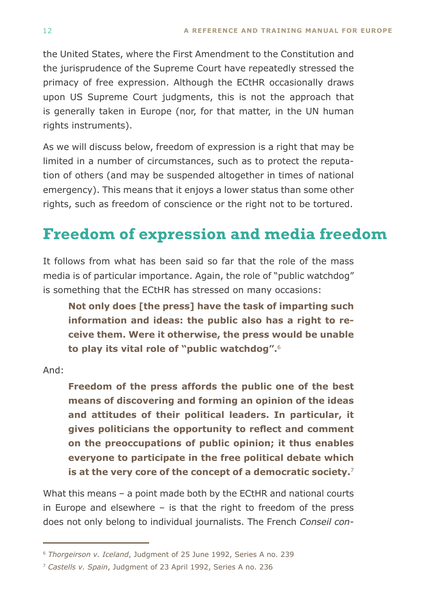<span id="page-11-0"></span>the United States, where the First Amendment to the Constitution and the jurisprudence of the Supreme Court have repeatedly stressed the primacy of free expression. Although the ECtHR occasionally draws upon US Supreme Court judgments, this is not the approach that is generally taken in Europe (nor, for that matter, in the UN human rights instruments).

As we will discuss below, freedom of expression is a right that may be limited in a number of circumstances, such as to protect the reputation of others (and may be suspended altogether in times of national emergency). This means that it enjoys a lower status than some other rights, such as freedom of conscience or the right not to be tortured.

# **Freedom of expression and media freedom**

It follows from what has been said so far that the role of the mass media is of particular importance. Again, the role of "public watchdog" is something that the ECtHR has stressed on many occasions:

**Not only does [the press] have the task of imparting such information and ideas: the public also has a right to receive them. Were it otherwise, the press would be unable to play its vital role of "public watchdog".**<sup>6</sup>

And:

**Freedom of the press affords the public one of the best means of discovering and forming an opinion of the ideas and attitudes of their political leaders. In particular, it gives politicians the opportunity to reflect and comment on the preoccupations of public opinion; it thus enables everyone to participate in the free political debate which is at the very core of the concept of a democratic society.**<sup>7</sup>

What this means – a point made both by the ECtHR and national courts in Europe and elsewhere – is that the right to freedom of the press does not only belong to individual journalists. The French *Conseil con-*

<sup>6</sup> *Thorgeirson v. Iceland*, Judgment of 25 June 1992, Series A no. 239

<sup>7</sup> *Castells v. Spain*, Judgment of 23 April 1992, Series A no. 236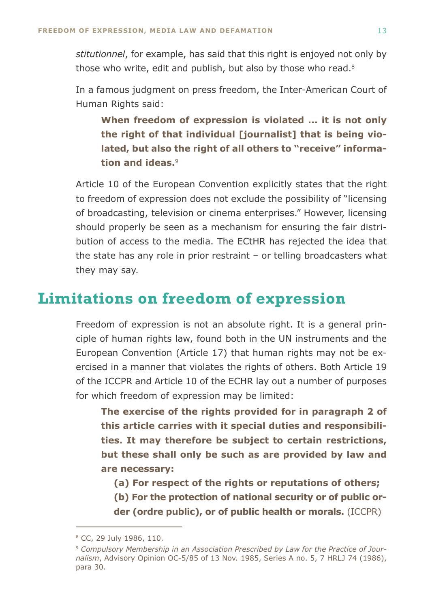<span id="page-12-0"></span>*stitutionnel*, for example, has said that this right is enjoyed not only by those who write, edit and publish, but also by those who read.<sup>8</sup>

In a famous judgment on press freedom, the Inter-American Court of Human Rights said:

**When freedom of expression is violated ... it is not only the right of that individual [journalist] that is being violated, but also the right of all others to "receive" information and ideas.**<sup>9</sup>

Article 10 of the European Convention explicitly states that the right to freedom of expression does not exclude the possibility of "licensing of broadcasting, television or cinema enterprises." However, licensing should properly be seen as a mechanism for ensuring the fair distribution of access to the media. The ECtHR has rejected the idea that the state has any role in prior restraint – or telling broadcasters what they may say.

### **Limitations on freedom of expression**

Freedom of expression is not an absolute right. It is a general principle of human rights law, found both in the UN instruments and the European Convention (Article 17) that human rights may not be exercised in a manner that violates the rights of others. Both Article 19 of the ICCPR and Article 10 of the ECHR lay out a number of purposes for which freedom of expression may be limited:

**The exercise of the rights provided for in paragraph 2 of this article carries with it special duties and responsibilities. It may therefore be subject to certain restrictions, but these shall only be such as are provided by law and are necessary:**

- **(a) For respect of the rights or reputations of others;**
- **(b) For the protection of national security or of public or-**
- **der (ordre public), or of public health or morals.** (ICCPR)

<sup>8</sup> CC, 29 July 1986, 110.

<sup>9</sup> *Compulsory Membership in an Association Prescribed by Law for the Practice of Journalism*, Advisory Opinion OC-5/85 of 13 Nov. 1985, Series A no. 5, 7 HRLJ 74 (1986), para 30.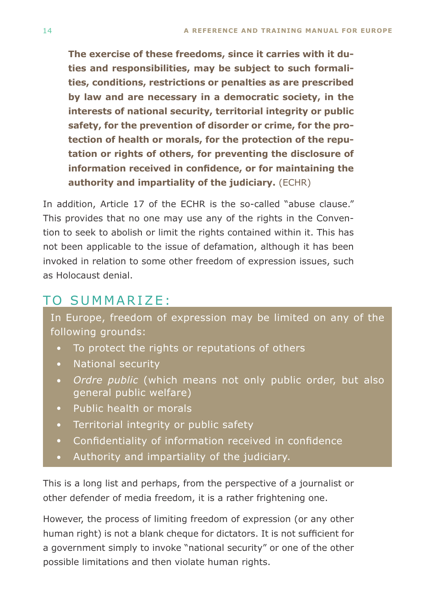**The exercise of these freedoms, since it carries with it duties and responsibilities, may be subject to such formalities, conditions, restrictions or penalties as are prescribed by law and are necessary in a democratic society, in the interests of national security, territorial integrity or public safety, for the prevention of disorder or crime, for the protection of health or morals, for the protection of the reputation or rights of others, for preventing the disclosure of information received in confidence, or for maintaining the authority and impartiality of the judiciary.** (ECHR)

In addition, Article 17 of the ECHR is the so-called "abuse clause." This provides that no one may use any of the rights in the Convention to seek to abolish or limit the rights contained within it. This has not been applicable to the issue of defamation, although it has been invoked in relation to some other freedom of expression issues, such as Holocaust denial.

# To summarize:

In Europe, freedom of expression may be limited on any of the following grounds:

- To protect the rights or reputations of others
- National security
- *Ordre public* (which means not only public order, but also general public welfare)
- Public health or morals
- Territorial integrity or public safety
- Confidentiality of information received in confidence
- Authority and impartiality of the judiciary.

This is a long list and perhaps, from the perspective of a journalist or other defender of media freedom, it is a rather frightening one.

However, the process of limiting freedom of expression (or any other human right) is not a blank cheque for dictators. It is not sufficient for a government simply to invoke "national security" or one of the other possible limitations and then violate human rights.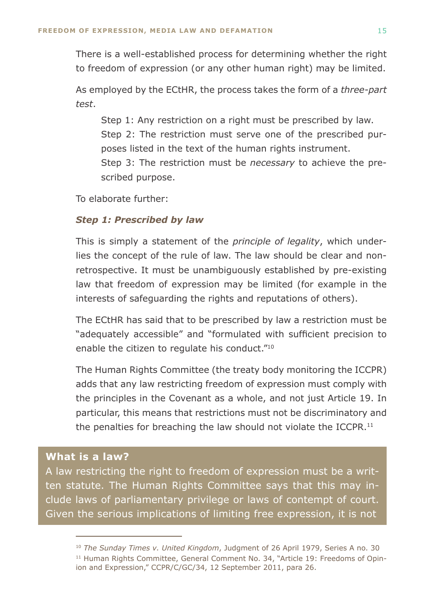There is a well-established process for determining whether the right to freedom of expression (or any other human right) may be limited.

As employed by the ECtHR, the process takes the form of a *three-part test*.

Step 1: Any restriction on a right must be prescribed by law. Step 2: The restriction must serve one of the prescribed purposes listed in the text of the human rights instrument. Step 3: The restriction must be *necessary* to achieve the prescribed purpose.

To elaborate further:

#### *Step 1: Prescribed by law*

This is simply a statement of the *principle of legality*, which underlies the concept of the rule of law. The law should be clear and nonretrospective. It must be unambiguously established by pre-existing law that freedom of expression may be limited (for example in the interests of safeguarding the rights and reputations of others).

The ECtHR has said that to be prescribed by law a restriction must be "adequately accessible" and "formulated with sufficient precision to enable the citizen to regulate his conduct."10

The Human Rights Committee (the treaty body monitoring the ICCPR) adds that any law restricting freedom of expression must comply with the principles in the Covenant as a whole, and not just Article 19. In particular, this means that restrictions must not be discriminatory and the penalties for breaching the law should not violate the ICCPR. $11$ 

#### **What is a law?**

A law restricting the right to freedom of expression must be a written statute. The Human Rights Committee says that this may include laws of parliamentary privilege or laws of contempt of court. Given the serious implications of limiting free expression, it is not

<sup>10</sup> *The Sunday Times v. United Kingdom*, Judgment of 26 April 1979, Series A no. 30 <sup>11</sup> Human Rights Committee, General Comment No. 34, "Article 19: Freedoms of Opinion and Expression," CCPR/C/GC/34, 12 September 2011, para 26.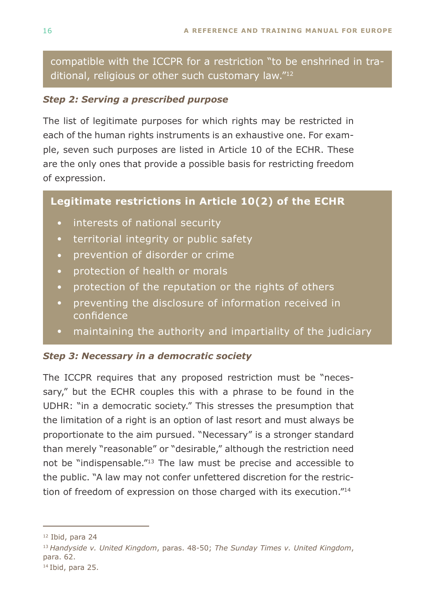compatible with the ICCPR for a restriction "to be enshrined in traditional, religious or other such customary law."12

#### *Step 2: Serving a prescribed purpose*

The list of legitimate purposes for which rights may be restricted in each of the human rights instruments is an exhaustive one. For example, seven such purposes are listed in Article 10 of the ECHR. These are the only ones that provide a possible basis for restricting freedom of expression.

### **Legitimate restrictions in Article 10(2) of the ECHR**

- interests of national security
- territorial integrity or public safety
- prevention of disorder or crime
- protection of health or morals
- protection of the reputation or the rights of others
- preventing the disclosure of information received in confidence
- maintaining the authority and impartiality of the judiciary

### *Step 3: Necessary in a democratic society*

The ICCPR requires that any proposed restriction must be "necessary," but the ECHR couples this with a phrase to be found in the UDHR: "in a democratic society." This stresses the presumption that the limitation of a right is an option of last resort and must always be proportionate to the aim pursued. "Necessary" is a stronger standard than merely "reasonable" or "desirable," although the restriction need not be "indispensable."13 The law must be precise and accessible to the public. "A law may not confer unfettered discretion for the restriction of freedom of expression on those charged with its execution."14

14 Ibid, para 25.

<sup>12</sup> Ibid, para 24

<sup>13</sup>*Handyside v. United Kingdom*, paras. 48-50; *The Sunday Times v. United Kingdom*, para. 62.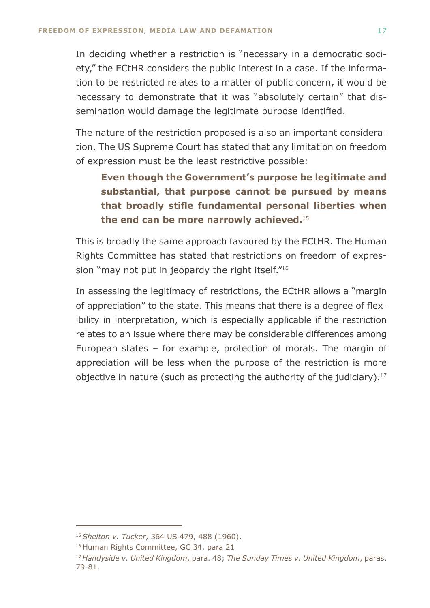In deciding whether a restriction is "necessary in a democratic society," the ECtHR considers the public interest in a case. If the information to be restricted relates to a matter of public concern, it would be necessary to demonstrate that it was "absolutely certain" that dissemination would damage the legitimate purpose identified.

The nature of the restriction proposed is also an important consideration. The US Supreme Court has stated that any limitation on freedom of expression must be the least restrictive possible:

**Even though the Government's purpose be legitimate and substantial, that purpose cannot be pursued by means that broadly stifle fundamental personal liberties when the end can be more narrowly achieved.**<sup>15</sup>

This is broadly the same approach favoured by the ECtHR. The Human Rights Committee has stated that restrictions on freedom of expression "may not put in jeopardy the right itself."<sup>16</sup>

In assessing the legitimacy of restrictions, the ECtHR allows a "margin of appreciation" to the state. This means that there is a degree of flexibility in interpretation, which is especially applicable if the restriction relates to an issue where there may be considerable differences among European states – for example, protection of morals. The margin of appreciation will be less when the purpose of the restriction is more objective in nature (such as protecting the authority of the judiciary).<sup>17</sup>

<sup>15</sup>*Shelton v. Tucker*, 364 US 479, 488 (1960).

<sup>&</sup>lt;sup>16</sup> Human Rights Committee, GC 34, para 21

<sup>17</sup>*Handyside v. United Kingdom*, para. 48; *The Sunday Times v. United Kingdom*, paras. 79-81.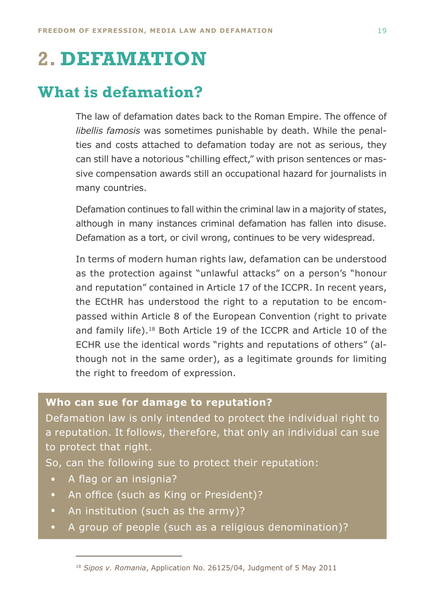# <span id="page-17-0"></span>**2. DEFAMATION**

# **What is defamation?**

The law of defamation dates back to the Roman Empire. The offence of *libellis famosis* was sometimes punishable by death. While the penalties and costs attached to defamation today are not as serious, they can still have a notorious "chilling effect," with prison sentences or massive compensation awards still an occupational hazard for journalists in many countries.

Defamation continues to fall within the criminal law in a majority of states, although in many instances criminal defamation has fallen into disuse. Defamation as a tort, or civil wrong, continues to be very widespread.

In terms of modern human rights law, defamation can be understood as the protection against "unlawful attacks" on a person's "honour and reputation" contained in Article 17 of the ICCPR. In recent years, the ECtHR has understood the right to a reputation to be encompassed within Article 8 of the European Convention (right to private and family life).18 Both Article 19 of the ICCPR and Article 10 of the ECHR use the identical words "rights and reputations of others" (although not in the same order), as a legitimate grounds for limiting the right to freedom of expression.

#### **Who can sue for damage to reputation?**

Defamation law is only intended to protect the individual right to a reputation. It follows, therefore, that only an individual can sue to protect that right.

So, can the following sue to protect their reputation:

- A flag or an insignia?
- An office (such as King or President)?
- An institution (such as the army)?
- A group of people (such as a religious denomination)?

<sup>18</sup> *Sipos v. Romania*, Application No. 26125/04, Judgment of 5 May 2011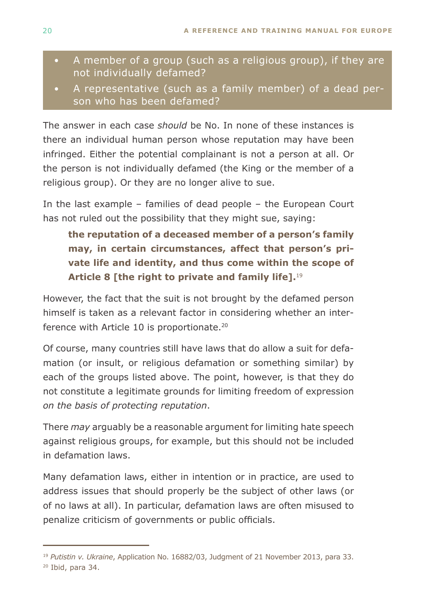- A member of a group (such as a religious group), if they are not individually defamed?
- A representative (such as a family member) of a dead person who has been defamed?

The answer in each case *should* be No. In none of these instances is there an individual human person whose reputation may have been infringed. Either the potential complainant is not a person at all. Or the person is not individually defamed (the King or the member of a religious group). Or they are no longer alive to sue.

In the last example – families of dead people – the European Court has not ruled out the possibility that they might sue, saying:

**the reputation of a deceased member of a person's family may, in certain circumstances, affect that person's private life and identity, and thus come within the scope of Article 8 [the right to private and family life].**<sup>19</sup>

However, the fact that the suit is not brought by the defamed person himself is taken as a relevant factor in considering whether an interference with Article 10 is proportionate.<sup>20</sup>

Of course, many countries still have laws that do allow a suit for defamation (or insult, or religious defamation or something similar) by each of the groups listed above. The point, however, is that they do not constitute a legitimate grounds for limiting freedom of expression *on the basis of protecting reputation*.

There *may* arguably be a reasonable argument for limiting hate speech against religious groups, for example, but this should not be included in defamation laws.

Many defamation laws, either in intention or in practice, are used to address issues that should properly be the subject of other laws (or of no laws at all). In particular, defamation laws are often misused to penalize criticism of governments or public officials.

20 Ibid, para 34.

<sup>19</sup> *Putistin v. Ukraine*, Application No. 16882/03, Judgment of 21 November 2013, para 33.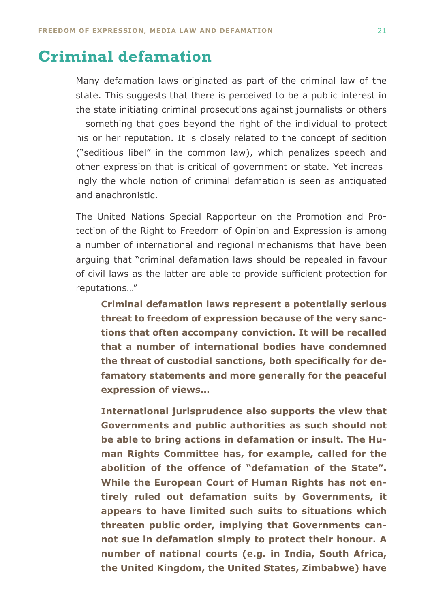# <span id="page-19-0"></span>**Criminal defamation**

Many defamation laws originated as part of the criminal law of the state. This suggests that there is perceived to be a public interest in the state initiating criminal prosecutions against journalists or others – something that goes beyond the right of the individual to protect his or her reputation. It is closely related to the concept of sedition ("seditious libel" in the common law), which penalizes speech and other expression that is critical of government or state. Yet increasingly the whole notion of criminal defamation is seen as antiquated and anachronistic.

The United Nations Special Rapporteur on the Promotion and Protection of the Right to Freedom of Opinion and Expression is among a number of international and regional mechanisms that have been arguing that "criminal defamation laws should be repealed in favour of civil laws as the latter are able to provide sufficient protection for reputations…"

**Criminal defamation laws represent a potentially serious threat to freedom of expression because of the very sanctions that often accompany conviction. It will be recalled that a number of international bodies have condemned the threat of custodial sanctions, both specifically for defamatory statements and more generally for the peaceful expression of views…**

**International jurisprudence also supports the view that Governments and public authorities as such should not be able to bring actions in defamation or insult. The Human Rights Committee has, for example, called for the abolition of the offence of "defamation of the State". While the European Court of Human Rights has not entirely ruled out defamation suits by Governments, it appears to have limited such suits to situations which threaten public order, implying that Governments cannot sue in defamation simply to protect their honour. A number of national courts (e.g. in India, South Africa, the United Kingdom, the United States, Zimbabwe) have**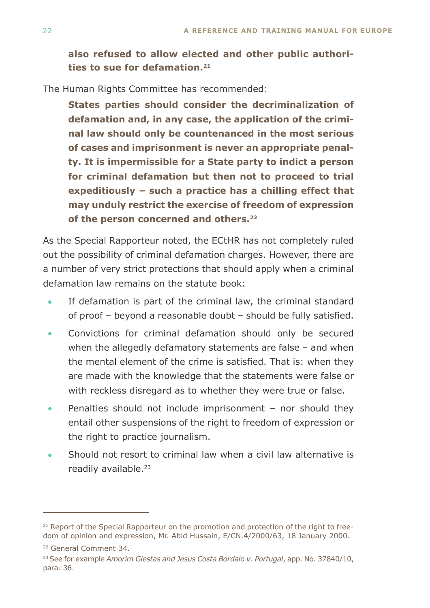**also refused to allow elected and other public authorities to sue for defamation.21**

The Human Rights Committee has recommended:

**States parties should consider the decriminalization of defamation and, in any case, the application of the criminal law should only be countenanced in the most serious of cases and imprisonment is never an appropriate penalty. It is impermissible for a State party to indict a person for criminal defamation but then not to proceed to trial expeditiously – such a practice has a chilling effect that may unduly restrict the exercise of freedom of expression of the person concerned and others.22**

As the Special Rapporteur noted, the ECtHR has not completely ruled out the possibility of criminal defamation charges. However, there are a number of very strict protections that should apply when a criminal defamation law remains on the statute book:

- If defamation is part of the criminal law, the criminal standard of proof – beyond a reasonable doubt – should be fully satisfied. •
- Convictions for criminal defamation should only be secured when the allegedly defamatory statements are false – and when the mental element of the crime is satisfied. That is: when they are made with the knowledge that the statements were false or with reckless disregard as to whether they were true or false. •
- Penalties should not include imprisonment nor should they entail other suspensions of the right to freedom of expression or the right to practice journalism. •
- Should not resort to criminal law when a civil law alternative is readily available.<sup>23</sup> •

 $21$  Report of the Special Rapporteur on the promotion and protection of the right to freedom of opinion and expression, Mr. Abid Hussain, E/CN.4/2000/63, 18 January 2000.

<sup>22</sup> General Comment 34.

<sup>23</sup> See for example *Amorim Giestas and Jesus Costa Bordalo v. Portugal*, app. No. 37840/10, para. 36.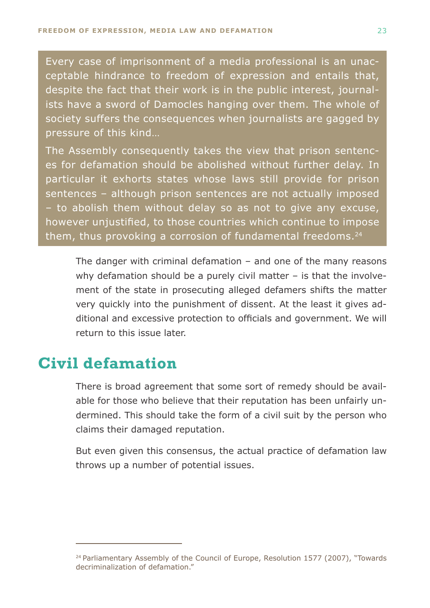<span id="page-21-0"></span>Every case of imprisonment of a media professional is an unacceptable hindrance to freedom of expression and entails that, despite the fact that their work is in the public interest, journalists have a sword of Damocles hanging over them. The whole of society suffers the consequences when journalists are gagged by pressure of this kind…

The Assembly consequently takes the view that prison sentences for defamation should be abolished without further delay. In particular it exhorts states whose laws still provide for prison sentences – although prison sentences are not actually imposed – to abolish them without delay so as not to give any excuse, however unjustified, to those countries which continue to impose them, thus provoking a corrosion of fundamental freedoms. $24$ 

The danger with criminal defamation  $-$  and one of the many reasons why defamation should be a purely civil matter – is that the involvement of the state in prosecuting alleged defamers shifts the matter very quickly into the punishment of dissent. At the least it gives additional and excessive protection to officials and government. We will return to this issue later.

# **Civil defamation**

There is broad agreement that some sort of remedy should be available for those who believe that their reputation has been unfairly undermined. This should take the form of a civil suit by the person who claims their damaged reputation.

But even given this consensus, the actual practice of defamation law throws up a number of potential issues.

<sup>&</sup>lt;sup>24</sup> Parliamentary Assembly of the Council of Europe, Resolution 1577 (2007), "Towards decriminalization of defamation."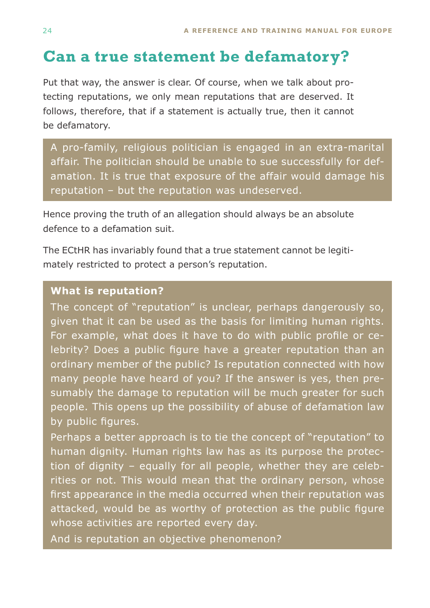# <span id="page-22-0"></span>**Can a true statement be defamatory?**

Put that way, the answer is clear. Of course, when we talk about protecting reputations, we only mean reputations that are deserved. It follows, therefore, that if a statement is actually true, then it cannot be defamatory.

A pro-family, religious politician is engaged in an extra-marital affair. The politician should be unable to sue successfully for defamation. It is true that exposure of the affair would damage his reputation – but the reputation was undeserved.

Hence proving the truth of an allegation should always be an absolute defence to a defamation suit.

The ECtHR has invariably found that a true statement cannot be legitimately restricted to protect a person's reputation.

#### **What is reputation?**

The concept of "reputation" is unclear, perhaps dangerously so, given that it can be used as the basis for limiting human rights. For example, what does it have to do with public profile or celebrity? Does a public figure have a greater reputation than an ordinary member of the public? Is reputation connected with how many people have heard of you? If the answer is yes, then presumably the damage to reputation will be much greater for such people. This opens up the possibility of abuse of defamation law by public figures.

Perhaps a better approach is to tie the concept of "reputation" to human dignity. Human rights law has as its purpose the protection of dignity – equally for all people, whether they are celebrities or not. This would mean that the ordinary person, whose first appearance in the media occurred when their reputation was attacked, would be as worthy of protection as the public figure whose activities are reported every day.

And is reputation an objective phenomenon?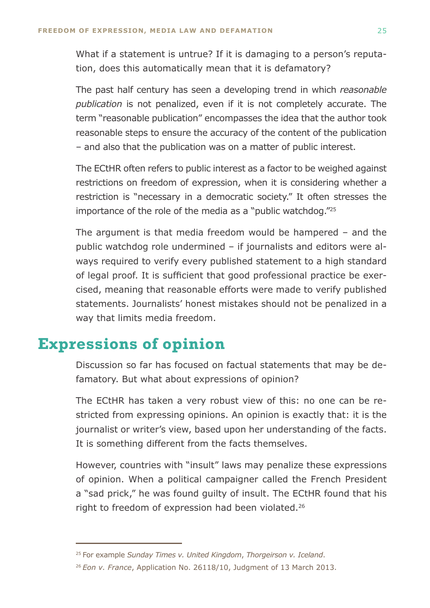<span id="page-23-0"></span>What if a statement is untrue? If it is damaging to a person's reputation, does this automatically mean that it is defamatory?

The past half century has seen a developing trend in which *reasonable publication* is not penalized, even if it is not completely accurate. The term "reasonable publication" encompasses the idea that the author took reasonable steps to ensure the accuracy of the content of the publication – and also that the publication was on a matter of public interest.

The ECtHR often refers to public interest as a factor to be weighed against restrictions on freedom of expression, when it is considering whether a restriction is "necessary in a democratic society." It often stresses the importance of the role of the media as a "public watchdog."25

The argument is that media freedom would be hampered – and the public watchdog role undermined – if journalists and editors were always required to verify every published statement to a high standard of legal proof. It is sufficient that good professional practice be exercised, meaning that reasonable efforts were made to verify published statements. Journalists' honest mistakes should not be penalized in a way that limits media freedom.

# **Expressions of opinion**

Discussion so far has focused on factual statements that may be defamatory. But what about expressions of opinion?

The ECtHR has taken a very robust view of this: no one can be restricted from expressing opinions. An opinion is exactly that: it is the journalist or writer's view, based upon her understanding of the facts. It is something different from the facts themselves.

However, countries with "insult" laws may penalize these expressions of opinion. When a political campaigner called the French President a "sad prick," he was found guilty of insult. The ECtHR found that his right to freedom of expression had been violated.<sup>26</sup>

<sup>25</sup> For example *Sunday Times v. United Kingdom*, *Thorgeirson v. Iceland*.

<sup>26</sup>*Eon v. France*, Application No. 26118/10, Judgment of 13 March 2013.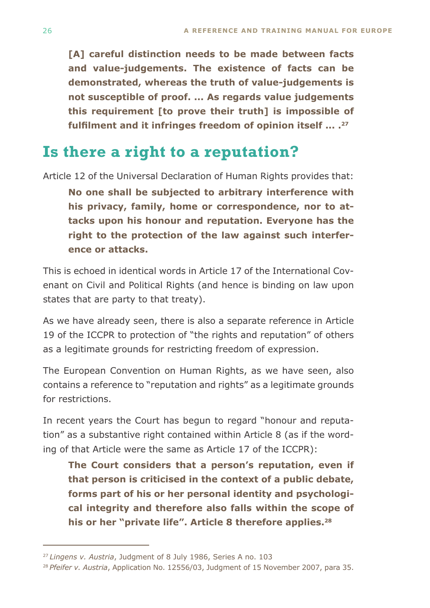<span id="page-24-0"></span>**[A] careful distinction needs to be made between facts and value-judgements. The existence of facts can be demonstrated, whereas the truth of value-judgements is not susceptible of proof. ... As regards value judgements this requirement [to prove their truth] is impossible of fulfilment and it infringes freedom of opinion itself ... .<sup>27</sup>**

# **Is there a right to a reputation?**

Article 12 of the Universal Declaration of Human Rights provides that: **No one shall be subjected to arbitrary interference with his privacy, family, home or correspondence, nor to attacks upon his honour and reputation. Everyone has the right to the protection of the law against such interference or attacks.**

This is echoed in identical words in Article 17 of the International Covenant on Civil and Political Rights (and hence is binding on law upon states that are party to that treaty).

As we have already seen, there is also a separate reference in Article 19 of the ICCPR to protection of "the rights and reputation" of others as a legitimate grounds for restricting freedom of expression.

The European Convention on Human Rights, as we have seen, also contains a reference to "reputation and rights" as a legitimate grounds for restrictions.

In recent years the Court has begun to regard "honour and reputation" as a substantive right contained within Article 8 (as if the wording of that Article were the same as Article 17 of the ICCPR):

**The Court considers that a person's reputation, even if that person is criticised in the context of a public debate, forms part of his or her personal identity and psychological integrity and therefore also falls within the scope of his or her "private life". Article 8 therefore applies.28**

<sup>27</sup>*Lingens v. Austria*, Judgment of 8 July 1986, Series A no. 103

<sup>28</sup>*Pfeifer v. Austria*, Application No. 12556/03, Judgment of 15 November 2007, para 35.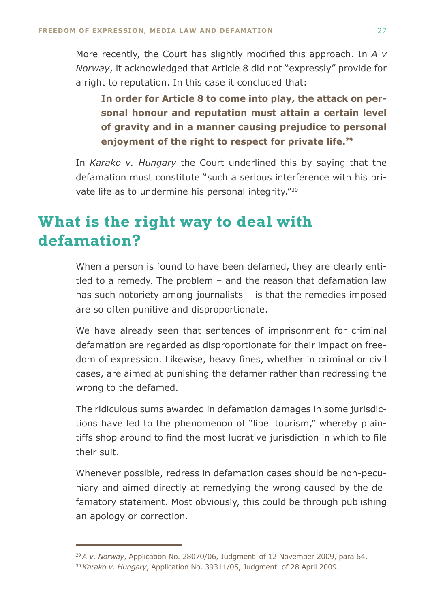<span id="page-25-0"></span>More recently, the Court has slightly modified this approach. In *A v Norway*, it acknowledged that Article 8 did not "expressly" provide for a right to reputation. In this case it concluded that:

**In order for Article 8 to come into play, the attack on personal honour and reputation must attain a certain level of gravity and in a manner causing prejudice to personal enjoyment of the right to respect for private life.29**

In *Karako v. Hungary* the Court underlined this by saying that the defamation must constitute "such a serious interference with his private life as to undermine his personal integrity."30

# **What is the right way to deal with defamation?**

When a person is found to have been defamed, they are clearly entitled to a remedy. The problem – and the reason that defamation law has such notoriety among journalists – is that the remedies imposed are so often punitive and disproportionate.

We have already seen that sentences of imprisonment for criminal defamation are regarded as disproportionate for their impact on freedom of expression. Likewise, heavy fines, whether in criminal or civil cases, are aimed at punishing the defamer rather than redressing the wrong to the defamed.

The ridiculous sums awarded in defamation damages in some jurisdictions have led to the phenomenon of "libel tourism," whereby plaintiffs shop around to find the most lucrative jurisdiction in which to file their suit.

Whenever possible, redress in defamation cases should be non-pecuniary and aimed directly at remedying the wrong caused by the defamatory statement. Most obviously, this could be through publishing an apology or correction.

<sup>29</sup>*A v. Norway*, Application No. 28070/06, Judgment of 12 November 2009, para 64. <sup>30</sup>*Karako v. Hungary*, Application No. 39311/05, Judgment of 28 April 2009.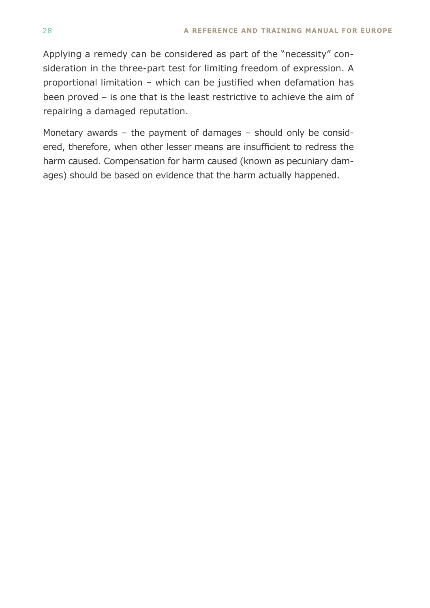Applying a remedy can be considered as part of the "necessity" consideration in the three-part test for limiting freedom of expression. A proportional limitation – which can be justified when defamation has been proved – is one that is the least restrictive to achieve the aim of repairing a damaged reputation.

Monetary awards – the payment of damages – should only be considered, therefore, when other lesser means are insufficient to redress the harm caused. Compensation for harm caused (known as pecuniary damages) should be based on evidence that the harm actually happened.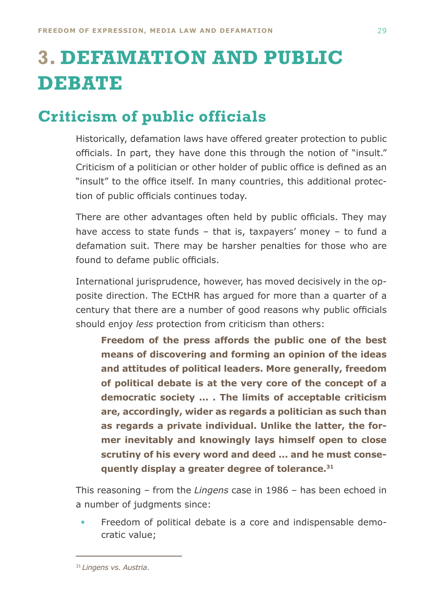# <span id="page-27-0"></span>**3. DEFAMATION AND PUBLIC DEBATE**

# **Criticism of public officials**

Historically, defamation laws have offered greater protection to public officials. In part, they have done this through the notion of "insult." Criticism of a politician or other holder of public office is defined as an "insult" to the office itself. In many countries, this additional protection of public officials continues today.

There are other advantages often held by public officials. They may have access to state funds – that is, taxpayers' money – to fund a defamation suit. There may be harsher penalties for those who are found to defame public officials.

International jurisprudence, however, has moved decisively in the opposite direction. The ECtHR has argued for more than a quarter of a century that there are a number of good reasons why public officials should enjoy *less* protection from criticism than others:

**Freedom of the press affords the public one of the best means of discovering and forming an opinion of the ideas and attitudes of political leaders. More generally, freedom of political debate is at the very core of the concept of a democratic society ... . The limits of acceptable criticism are, accordingly, wider as regards a politician as such than as regards a private individual. Unlike the latter, the former inevitably and knowingly lays himself open to close scrutiny of his every word and deed ... and he must consequently display a greater degree of tolerance.31**

This reasoning – from the *Lingens* case in 1986 – has been echoed in a number of judgments since:

Freedom of political debate is a core and indispensable democratic value; •

<sup>31</sup>*Lingens vs. Austria*.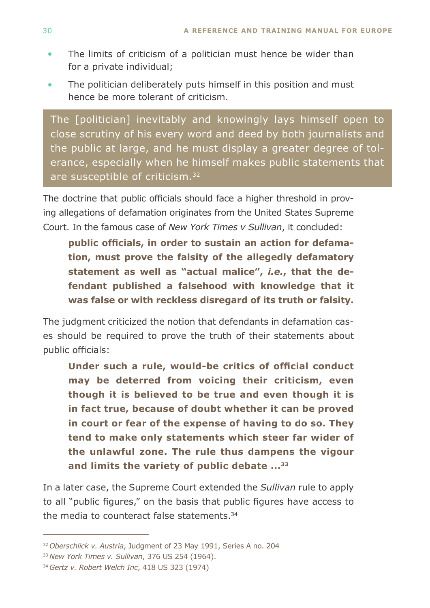- The limits of criticism of a politician must hence be wider than for a private individual; •
- The politician deliberately puts himself in this position and must hence be more tolerant of criticism. •

The [politician] inevitably and knowingly lays himself open to close scrutiny of his every word and deed by both journalists and the public at large, and he must display a greater degree of tolerance, especially when he himself makes public statements that are susceptible of criticism.<sup>32</sup>

The doctrine that public officials should face a higher threshold in proving allegations of defamation originates from the United States Supreme Court. In the famous case of *New York Times v Sullivan*, it concluded:

**public officials, in order to sustain an action for defamation, must prove the falsity of the allegedly defamatory statement as well as "actual malice",** *i.e.***, that the defendant published a falsehood with knowledge that it was false or with reckless disregard of its truth or falsity.**

The judgment criticized the notion that defendants in defamation cases should be required to prove the truth of their statements about public officials:

**Under such a rule, would-be critics of official conduct may be deterred from voicing their criticism, even though it is believed to be true and even though it is in fact true, because of doubt whether it can be proved in court or fear of the expense of having to do so. They tend to make only statements which steer far wider of the unlawful zone. The rule thus dampens the vigour and limits the variety of public debate ...33**

In a later case, the Supreme Court extended the *Sullivan* rule to apply to all "public figures," on the basis that public figures have access to the media to counteract false statements.34

<sup>32</sup>*Oberschlick v. Austria*, Judgment of 23 May 1991, Series A no. 204

<sup>33</sup>*New York Times v. Sullivan*, 376 US 254 (1964).

<sup>34</sup>*Gertz v. Robert Welch Inc*, 418 US 323 (1974)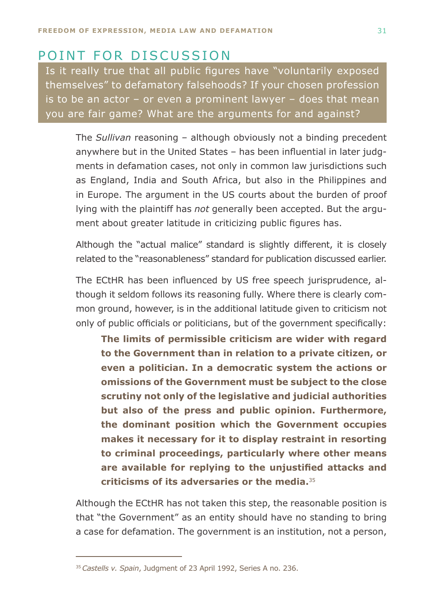### Point for discussion

Is it really true that all public figures have "voluntarily exposed themselves" to defamatory falsehoods? If your chosen profession is to be an actor  $-$  or even a prominent lawyer  $-$  does that mean you are fair game? What are the arguments for and against?

The *Sullivan* reasoning – although obviously not a binding precedent anywhere but in the United States – has been influential in later judgments in defamation cases, not only in common law jurisdictions such as England, India and South Africa, but also in the Philippines and in Europe. The argument in the US courts about the burden of proof lying with the plaintiff has *not* generally been accepted. But the argument about greater latitude in criticizing public figures has.

Although the "actual malice" standard is slightly different, it is closely related to the "reasonableness" standard for publication discussed earlier.

The ECtHR has been influenced by US free speech jurisprudence, although it seldom follows its reasoning fully. Where there is clearly common ground, however, is in the additional latitude given to criticism not only of public officials or politicians, but of the government specifically:

**The limits of permissible criticism are wider with regard to the Government than in relation to a private citizen, or even a politician. In a democratic system the actions or omissions of the Government must be subject to the close scrutiny not only of the legislative and judicial authorities but also of the press and public opinion. Furthermore, the dominant position which the Government occupies makes it necessary for it to display restraint in resorting to criminal proceedings, particularly where other means are available for replying to the unjustified attacks and criticisms of its adversaries or the media.**<sup>35</sup>

Although the ECtHR has not taken this step, the reasonable position is that "the Government" as an entity should have no standing to bring a case for defamation. The government is an institution, not a person,

<sup>35</sup>*Castells v. Spain*, Judgment of 23 April 1992, Series A no. 236.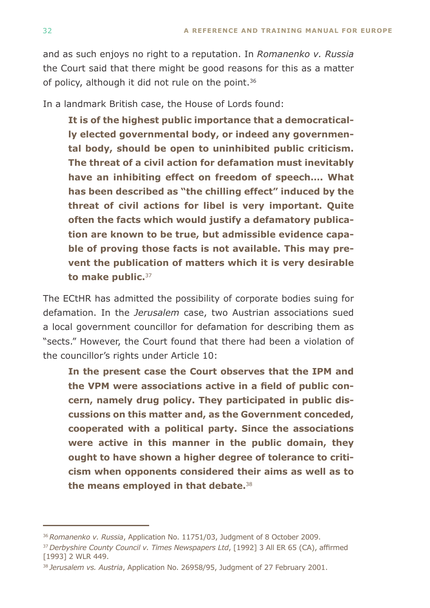and as such enjoys no right to a reputation. In *Romanenko v. Russia* the Court said that there might be good reasons for this as a matter of policy, although it did not rule on the point.<sup>36</sup>

In a landmark British case, the House of Lords found:

**It is of the highest public importance that a democratically elected governmental body, or indeed any governmental body, should be open to uninhibited public criticism. The threat of a civil action for defamation must inevitably have an inhibiting effect on freedom of speech…. What has been described as "the chilling effect" induced by the threat of civil actions for libel is very important. Quite often the facts which would justify a defamatory publication are known to be true, but admissible evidence capable of proving those facts is not available. This may prevent the publication of matters which it is very desirable to make public.**<sup>37</sup>

The ECtHR has admitted the possibility of corporate bodies suing for defamation. In the *Jerusalem* case, two Austrian associations sued a local government councillor for defamation for describing them as "sects." However, the Court found that there had been a violation of the councillor's rights under Article 10:

**In the present case the Court observes that the IPM and the VPM were associations active in a field of public concern, namely drug policy. They participated in public discussions on this matter and, as the Government conceded, cooperated with a political party. Since the associations were active in this manner in the public domain, they ought to have shown a higher degree of tolerance to criticism when opponents considered their aims as well as to the means employed in that debate.**<sup>38</sup>

<sup>36</sup>*Romanenko v. Russia*, Application No. 11751/03, Judgment of 8 October 2009.

<sup>37</sup>*Derbyshire County Council v. Times Newspapers Ltd*, [1992] 3 All ER 65 (CA), affirmed [1993] 2 WLR 449.

<sup>38</sup>*Jerusalem vs. Austria*, Application No. 26958/95, Judgment of 27 February 2001.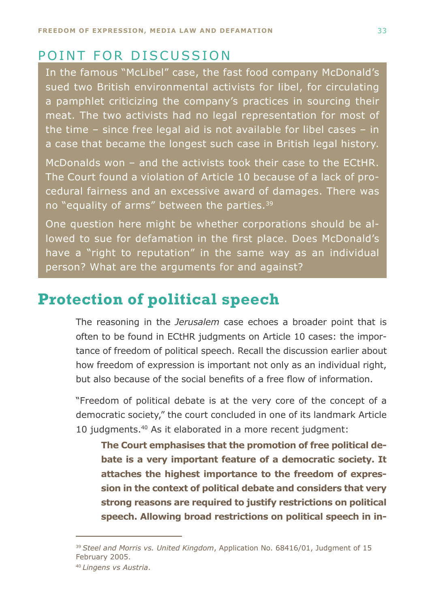### <span id="page-31-0"></span>POINT FOR DISCUSSION

In the famous "McLibel" case, the fast food company McDonald's sued two British environmental activists for libel, for circulating a pamphlet criticizing the company's practices in sourcing their meat. The two activists had no legal representation for most of the time – since free legal aid is not available for libel cases – in a case that became the longest such case in British legal history.

McDonalds won – and the activists took their case to the ECtHR. The Court found a violation of Article 10 because of a lack of procedural fairness and an excessive award of damages. There was no "equality of arms" between the parties.<sup>39</sup>

One question here might be whether corporations should be allowed to sue for defamation in the first place. Does McDonald's have a "right to reputation" in the same way as an individual person? What are the arguments for and against?

# **Protection of political speech**

The reasoning in the *Jerusalem* case echoes a broader point that is often to be found in ECtHR judgments on Article 10 cases: the importance of freedom of political speech. Recall the discussion earlier about how freedom of expression is important not only as an individual right, but also because of the social benefits of a free flow of information.

"Freedom of political debate is at the very core of the concept of a democratic society," the court concluded in one of its landmark Article 10 judgments.40 As it elaborated in a more recent judgment:

**The Court emphasises that the promotion of free political debate is a very important feature of a democratic society. It attaches the highest importance to the freedom of expression in the context of political debate and considers that very strong reasons are required to justify restrictions on political speech. Allowing broad restrictions on political speech in in-**

<sup>39</sup>*Steel and Morris vs. United Kingdom*, Application No. 68416/01, Judgment of 15 February 2005.

<sup>40</sup>*Lingens vs Austria*.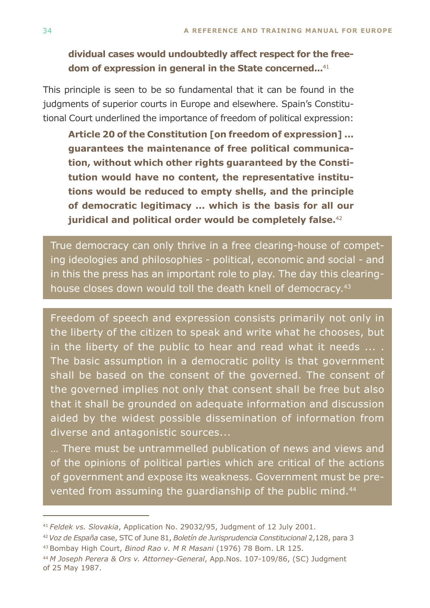**dividual cases would undoubtedly affect respect for the freedom of expression in general in the State concerned...**<sup>41</sup>

This principle is seen to be so fundamental that it can be found in the judgments of superior courts in Europe and elsewhere. Spain's Constitutional Court underlined the importance of freedom of political expression:

**Article 20 of the Constitution [on freedom of expression] ... guarantees the maintenance of free political communication, without which other rights guaranteed by the Constitution would have no content, the representative institutions would be reduced to empty shells, and the principle of democratic legitimacy ... which is the basis for all our juridical and political order would be completely false.**<sup>42</sup>

True democracy can only thrive in a free clearing-house of competing ideologies and philosophies - political, economic and social - and in this the press has an important role to play. The day this clearinghouse closes down would toll the death knell of democracy.<sup>43</sup>

Freedom of speech and expression consists primarily not only in the liberty of the citizen to speak and write what he chooses, but in the liberty of the public to hear and read what it needs ... . The basic assumption in a democratic polity is that government shall be based on the consent of the governed. The consent of the governed implies not only that consent shall be free but also that it shall be grounded on adequate information and discussion aided by the widest possible dissemination of information from diverse and antagonistic sources...

… There must be untrammelled publication of news and views and of the opinions of political parties which are critical of the actions of government and expose its weakness. Government must be prevented from assuming the quardianship of the public mind.<sup>44</sup>

43 Bombay High Court, *Binod Rao v. M R Masani* (1976) 78 Bom. LR 125.

<sup>41</sup>*Feldek vs. Slovakia*, Application No. 29032/95, Judgment of 12 July 2001.

<sup>42</sup>*Voz de España* case, STC of June 81, *Boletín de Jurisprudencia Constitucional* 2,128, para 3

<sup>44</sup>*M Joseph Perera & Ors v. Attorney-General*, App.Nos. 107-109/86, (SC) Judgment of 25 May 1987.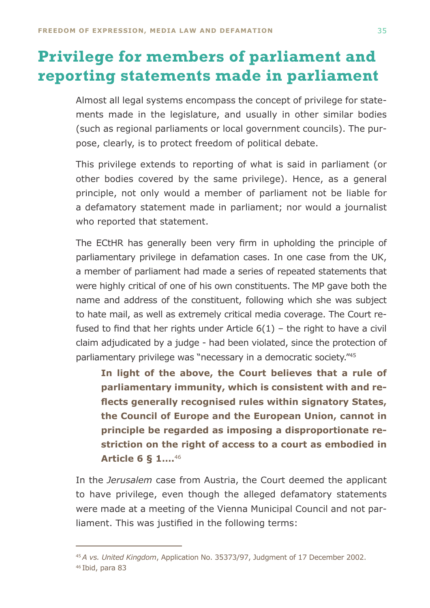# <span id="page-33-0"></span>**Privilege for members of parliament and reporting statements made in parliament**

Almost all legal systems encompass the concept of privilege for statements made in the legislature, and usually in other similar bodies (such as regional parliaments or local government councils). The purpose, clearly, is to protect freedom of political debate.

This privilege extends to reporting of what is said in parliament (or other bodies covered by the same privilege). Hence, as a general principle, not only would a member of parliament not be liable for a defamatory statement made in parliament; nor would a journalist who reported that statement.

The ECtHR has generally been very firm in upholding the principle of parliamentary privilege in defamation cases. In one case from the UK, a member of parliament had made a series of repeated statements that were highly critical of one of his own constituents. The MP gave both the name and address of the constituent, following which she was subject to hate mail, as well as extremely critical media coverage. The Court refused to find that her rights under Article  $6(1)$  – the right to have a civil claim adjudicated by a judge - had been violated, since the protection of parliamentary privilege was "necessary in a democratic society."45

**In light of the above, the Court believes that a rule of parliamentary immunity, which is consistent with and reflects generally recognised rules within signatory States, the Council of Europe and the European Union, cannot in principle be regarded as imposing a disproportionate restriction on the right of access to a court as embodied in Article 6 § 1….**<sup>46</sup>

In the *Jerusalem* case from Austria, the Court deemed the applicant to have privilege, even though the alleged defamatory statements were made at a meeting of the Vienna Municipal Council and not parliament. This was justified in the following terms:

<sup>45</sup>*A vs. United Kingdom*, Application No. 35373/97, Judgment of 17 December 2002. 46 Ibid, para 83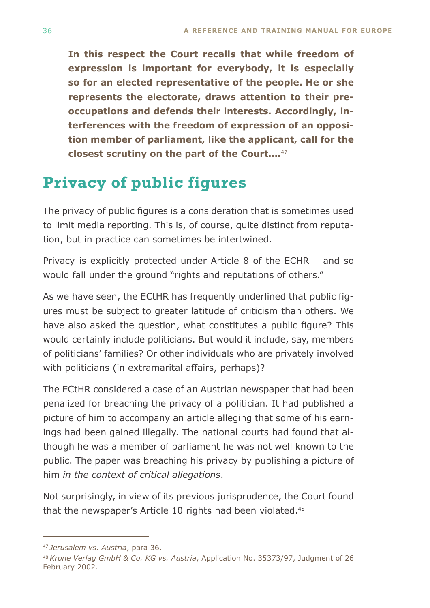<span id="page-34-0"></span>**In this respect the Court recalls that while freedom of expression is important for everybody, it is especially so for an elected representative of the people. He or she represents the electorate, draws attention to their preoccupations and defends their interests. Accordingly, interferences with the freedom of expression of an opposition member of parliament, like the applicant, call for the closest scrutiny on the part of the Court….**<sup>47</sup>

# **Privacy of public figures**

The privacy of public figures is a consideration that is sometimes used to limit media reporting. This is, of course, quite distinct from reputation, but in practice can sometimes be intertwined.

Privacy is explicitly protected under Article 8 of the ECHR – and so would fall under the ground "rights and reputations of others."

As we have seen, the ECtHR has frequently underlined that public figures must be subject to greater latitude of criticism than others. We have also asked the question, what constitutes a public figure? This would certainly include politicians. But would it include, say, members of politicians' families? Or other individuals who are privately involved with politicians (in extramarital affairs, perhaps)?

The ECtHR considered a case of an Austrian newspaper that had been penalized for breaching the privacy of a politician. It had published a picture of him to accompany an article alleging that some of his earnings had been gained illegally. The national courts had found that although he was a member of parliament he was not well known to the public. The paper was breaching his privacy by publishing a picture of him *in the context of critical allegations*.

Not surprisingly, in view of its previous jurisprudence, the Court found that the newspaper's Article 10 rights had been violated.<sup>48</sup>

<sup>47</sup>*Jerusalem vs. Austria*, para 36.

<sup>48</sup>*Krone Verlag GmbH & Co. KG vs. Austria*, Application No. 35373/97, Judgment of 26 February 2002.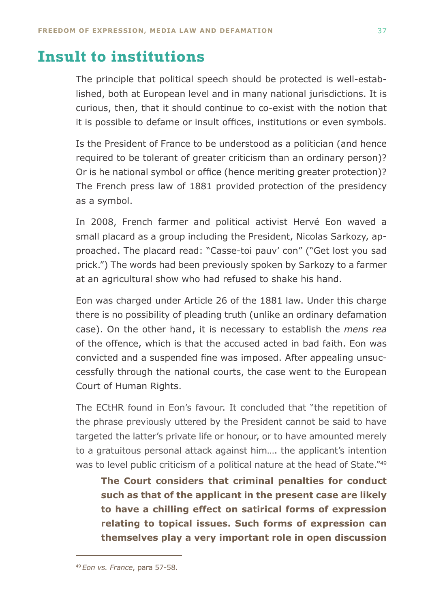# <span id="page-35-0"></span>**Insult to institutions**

The principle that political speech should be protected is well-established, both at European level and in many national jurisdictions. It is curious, then, that it should continue to co-exist with the notion that it is possible to defame or insult offices, institutions or even symbols.

Is the President of France to be understood as a politician (and hence required to be tolerant of greater criticism than an ordinary person)? Or is he national symbol or office (hence meriting greater protection)? The French press law of 1881 provided protection of the presidency as a symbol.

In 2008, French farmer and political activist Hervé Eon waved a small placard as a group including the President, Nicolas Sarkozy, approached. The placard read: "Casse-toi pauv' con" ("Get lost you sad prick.") The words had been previously spoken by Sarkozy to a farmer at an agricultural show who had refused to shake his hand.

Eon was charged under Article 26 of the 1881 law. Under this charge there is no possibility of pleading truth (unlike an ordinary defamation case). On the other hand, it is necessary to establish the *mens rea* of the offence, which is that the accused acted in bad faith. Eon was convicted and a suspended fine was imposed. After appealing unsuccessfully through the national courts, the case went to the European Court of Human Rights.

The ECtHR found in Eon's favour. It concluded that "the repetition of the phrase previously uttered by the President cannot be said to have targeted the latter's private life or honour, or to have amounted merely to a gratuitous personal attack against him…. the applicant's intention was to level public criticism of a political nature at the head of State."<sup>49</sup>

**The Court considers that criminal penalties for conduct such as that of the applicant in the present case are likely to have a chilling effect on satirical forms of expression relating to topical issues. Such forms of expression can themselves play a very important role in open discussion** 

<sup>49</sup>*Eon vs. France*, para 57-58.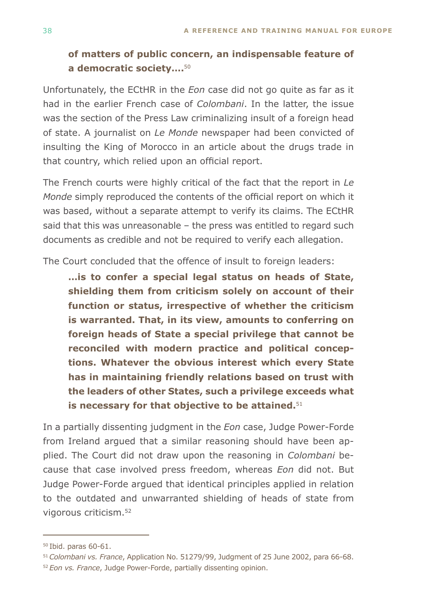### **of matters of public concern, an indispensable feature of a democratic society….**<sup>50</sup>

Unfortunately, the ECtHR in the *Eon* case did not go quite as far as it had in the earlier French case of *Colombani*. In the latter, the issue was the section of the Press Law criminalizing insult of a foreign head of state. A journalist on *Le Monde* newspaper had been convicted of insulting the King of Morocco in an article about the drugs trade in that country, which relied upon an official report.

The French courts were highly critical of the fact that the report in *Le Monde* simply reproduced the contents of the official report on which it was based, without a separate attempt to verify its claims. The ECtHR said that this was unreasonable – the press was entitled to regard such documents as credible and not be required to verify each allegation.

The Court concluded that the offence of insult to foreign leaders:

**…is to confer a special legal status on heads of State, shielding them from criticism solely on account of their function or status, irrespective of whether the criticism is warranted. That, in its view, amounts to conferring on foreign heads of State a special privilege that cannot be reconciled with modern practice and political conceptions. Whatever the obvious interest which every State has in maintaining friendly relations based on trust with the leaders of other States, such a privilege exceeds what is necessary for that objective to be attained.**<sup>51</sup>

In a partially dissenting judgment in the *Eon* case, Judge Power-Forde from Ireland argued that a similar reasoning should have been applied. The Court did not draw upon the reasoning in *Colombani* because that case involved press freedom, whereas *Eon* did not. But Judge Power-Forde argued that identical principles applied in relation to the outdated and unwarranted shielding of heads of state from vigorous criticism.52

<sup>50</sup> Ibid. paras 60-61.

<sup>51</sup>*Colombani vs. France*, Application No. 51279/99, Judgment of 25 June 2002, para 66-68.

<sup>52</sup>*Eon vs. France*, Judge Power-Forde, partially dissenting opinion.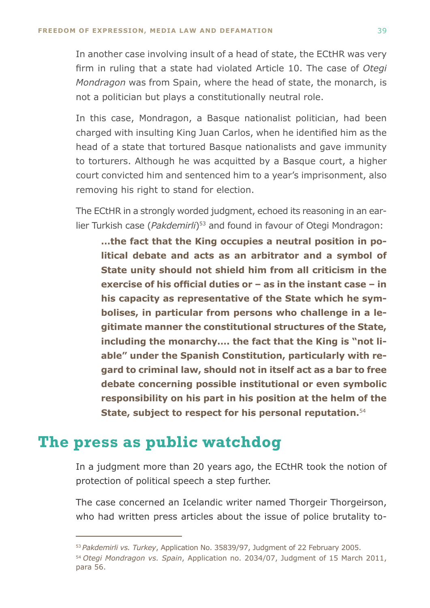<span id="page-37-0"></span>In another case involving insult of a head of state, the ECtHR was very firm in ruling that a state had violated Article 10. The case of *Otegi Mondragon* was from Spain, where the head of state, the monarch, is not a politician but plays a constitutionally neutral role.

In this case, Mondragon, a Basque nationalist politician, had been charged with insulting King Juan Carlos, when he identified him as the head of a state that tortured Basque nationalists and gave immunity to torturers. Although he was acquitted by a Basque court, a higher court convicted him and sentenced him to a year's imprisonment, also removing his right to stand for election.

The ECtHR in a strongly worded judgment, echoed its reasoning in an earlier Turkish case (*Pakdemirli*)<sup>53</sup> and found in favour of Otegi Mondragon:

**…the fact that the King occupies a neutral position in political debate and acts as an arbitrator and a symbol of State unity should not shield him from all criticism in the exercise of his official duties or – as in the instant case – in his capacity as representative of the State which he symbolises, in particular from persons who challenge in a legitimate manner the constitutional structures of the State, including the monarchy…. the fact that the King is "not liable" under the Spanish Constitution, particularly with regard to criminal law, should not in itself act as a bar to free debate concerning possible institutional or even symbolic responsibility on his part in his position at the helm of the State, subject to respect for his personal reputation.**<sup>54</sup>

### **The press as public watchdog**

In a judgment more than 20 years ago, the ECtHR took the notion of protection of political speech a step further.

The case concerned an Icelandic writer named Thorgeir Thorgeirson, who had written press articles about the issue of police brutality to-

<sup>53</sup> *Pakdemirli vs. Turkey*, Application No. 35839/97, Judgment of 22 February 2005.

<sup>54</sup>*Otegi Mondragon vs. Spain*, Application no. 2034/07, Judgment of 15 March 2011, para 56.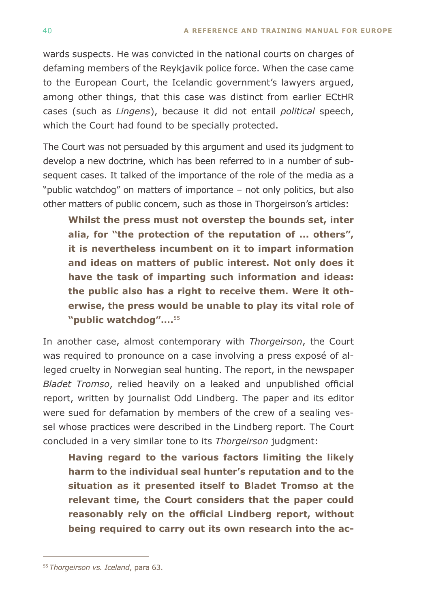wards suspects. He was convicted in the national courts on charges of defaming members of the Reykjavik police force. When the case came to the European Court, the Icelandic government's lawyers argued, among other things, that this case was distinct from earlier ECtHR cases (such as *Lingens*), because it did not entail *political* speech, which the Court had found to be specially protected.

The Court was not persuaded by this argument and used its judgment to develop a new doctrine, which has been referred to in a number of subsequent cases. It talked of the importance of the role of the media as a "public watchdog" on matters of importance – not only politics, but also other matters of public concern, such as those in Thorgeirson's articles:

**Whilst the press must not overstep the bounds set, inter alia, for "the protection of the reputation of ... others", it is nevertheless incumbent on it to impart information and ideas on matters of public interest. Not only does it have the task of imparting such information and ideas: the public also has a right to receive them. Were it otherwise, the press would be unable to play its vital role of "public watchdog"….**<sup>55</sup>

In another case, almost contemporary with *Thorgeirson*, the Court was required to pronounce on a case involving a press exposé of alleged cruelty in Norwegian seal hunting. The report, in the newspaper *Bladet Tromso*, relied heavily on a leaked and unpublished official report, written by journalist Odd Lindberg. The paper and its editor were sued for defamation by members of the crew of a sealing vessel whose practices were described in the Lindberg report. The Court concluded in a very similar tone to its *Thorgeirson* judgment:

**Having regard to the various factors limiting the likely harm to the individual seal hunter's reputation and to the situation as it presented itself to Bladet Tromso at the relevant time, the Court considers that the paper could reasonably rely on the official Lindberg report, without being required to carry out its own research into the ac-**

<sup>55</sup>*Thorgeirson vs. Iceland*, para 63.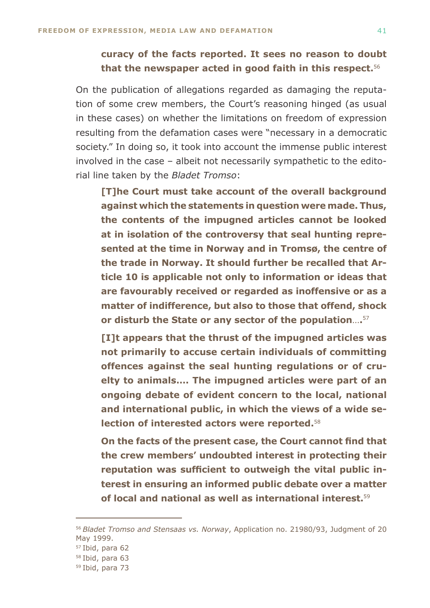#### **curacy of the facts reported. It sees no reason to doubt that the newspaper acted in good faith in this respect.**<sup>56</sup>

On the publication of allegations regarded as damaging the reputation of some crew members, the Court's reasoning hinged (as usual in these cases) on whether the limitations on freedom of expression resulting from the defamation cases were "necessary in a democratic society." In doing so, it took into account the immense public interest involved in the case – albeit not necessarily sympathetic to the editorial line taken by the *Bladet Tromso*:

**[T]he Court must take account of the overall background against which the statements in question were made. Thus, the contents of the impugned articles cannot be looked at in isolation of the controversy that seal hunting represented at the time in Norway and in Tromsø, the centre of the trade in Norway. It should further be recalled that Article 10 is applicable not only to information or ideas that are favourably received or regarded as inoffensive or as a matter of indifference, but also to those that offend, shock or disturb the State or any sector of the population**…**.**<sup>57</sup>

**[I]t appears that the thrust of the impugned articles was not primarily to accuse certain individuals of committing offences against the seal hunting regulations or of cruelty to animals…. The impugned articles were part of an ongoing debate of evident concern to the local, national and international public, in which the views of a wide selection of interested actors were reported.**<sup>58</sup>

**On the facts of the present case, the Court cannot find that the crew members' undoubted interest in protecting their reputation was sufficient to outweigh the vital public interest in ensuring an informed public debate over a matter of local and national as well as international interest.**<sup>59</sup>

<sup>56</sup>*Bladet Tromso and Stensaas vs. Norway*, Application no. 21980/93, Judgment of 20 May 1999.

<sup>57</sup> Ibid, para 62

<sup>58</sup> Ibid, para 63

<sup>59</sup> Ibid, para 73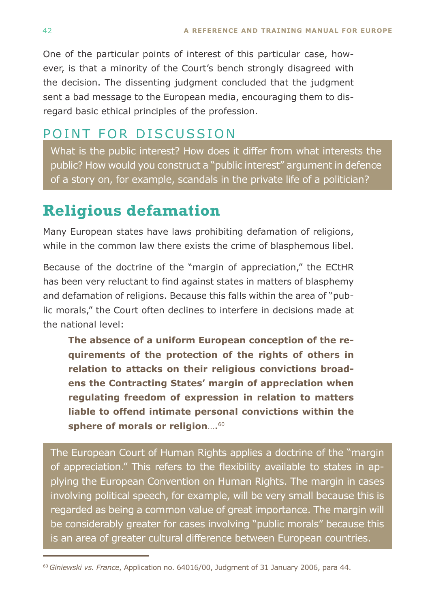<span id="page-40-0"></span>One of the particular points of interest of this particular case, however, is that a minority of the Court's bench strongly disagreed with the decision. The dissenting judgment concluded that the judgment sent a bad message to the European media, encouraging them to disregard basic ethical principles of the profession.

### Point for discussion

What is the public interest? How does it differ from what interests the public? How would you construct a "public interest" argument in defence of a story on, for example, scandals in the private life of a politician?

# **Religious defamation**

Many European states have laws prohibiting defamation of religions, while in the common law there exists the crime of blasphemous libel.

Because of the doctrine of the "margin of appreciation," the ECtHR has been very reluctant to find against states in matters of blasphemy and defamation of religions. Because this falls within the area of "public morals," the Court often declines to interfere in decisions made at the national level:

**The absence of a uniform European conception of the requirements of the protection of the rights of others in relation to attacks on their religious convictions broadens the Contracting States' margin of appreciation when regulating freedom of expression in relation to matters liable to offend intimate personal convictions within the sphere of morals or religion**…**.**<sup>60</sup>

The European Court of Human Rights applies a doctrine of the "margin of appreciation." This refers to the flexibility available to states in applying the European Convention on Human Rights. The margin in cases involving political speech, for example, will be very small because this is regarded as being a common value of great importance. The margin will be considerably greater for cases involving "public morals" because this is an area of greater cultural difference between European countries.

<sup>60</sup>*Giniewski vs. France*, Application no. 64016/00, Judgment of 31 January 2006, para 44.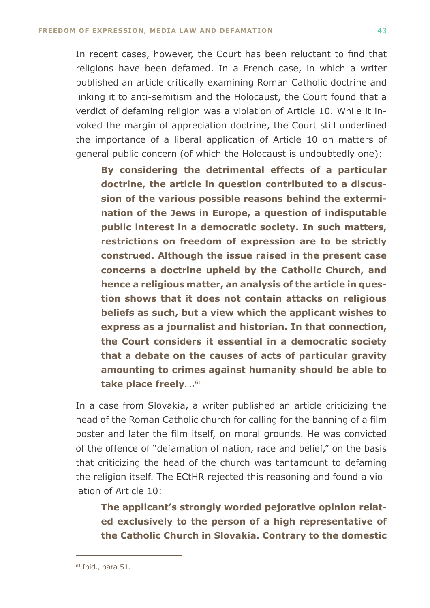In recent cases, however, the Court has been reluctant to find that religions have been defamed. In a French case, in which a writer published an article critically examining Roman Catholic doctrine and linking it to anti-semitism and the Holocaust, the Court found that a verdict of defaming religion was a violation of Article 10. While it invoked the margin of appreciation doctrine, the Court still underlined the importance of a liberal application of Article 10 on matters of general public concern (of which the Holocaust is undoubtedly one):

**By considering the detrimental effects of a particular doctrine, the article in question contributed to a discussion of the various possible reasons behind the extermination of the Jews in Europe, a question of indisputable public interest in a democratic society. In such matters, restrictions on freedom of expression are to be strictly construed. Although the issue raised in the present case concerns a doctrine upheld by the Catholic Church, and hence a religious matter, an analysis of the article in question shows that it does not contain attacks on religious beliefs as such, but a view which the applicant wishes to express as a journalist and historian. In that connection, the Court considers it essential in a democratic society that a debate on the causes of acts of particular gravity amounting to crimes against humanity should be able to take place freely**…**.**<sup>61</sup>

In a case from Slovakia, a writer published an article criticizing the head of the Roman Catholic church for calling for the banning of a film poster and later the film itself, on moral grounds. He was convicted of the offence of "defamation of nation, race and belief," on the basis that criticizing the head of the church was tantamount to defaming the religion itself. The ECtHR rejected this reasoning and found a violation of Article 10:

**The applicant's strongly worded pejorative opinion related exclusively to the person of a high representative of the Catholic Church in Slovakia. Contrary to the domestic** 

 $61$  Ibid., para 51.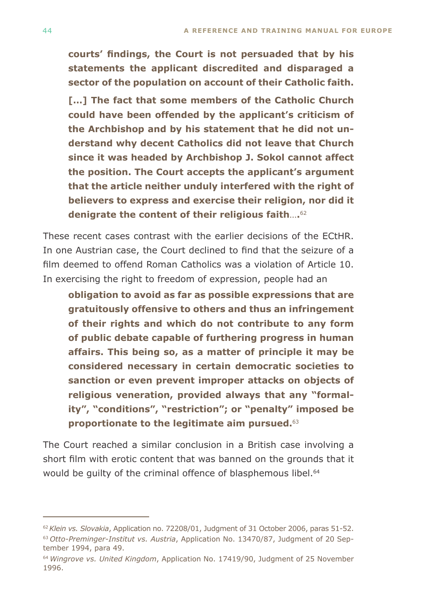**courts' findings, the Court is not persuaded that by his statements the applicant discredited and disparaged a sector of the population on account of their Catholic faith.**

**[…] The fact that some members of the Catholic Church could have been offended by the applicant's criticism of the Archbishop and by his statement that he did not understand why decent Catholics did not leave that Church since it was headed by Archbishop J. Sokol cannot affect the position. The Court accepts the applicant's argument that the article neither unduly interfered with the right of believers to express and exercise their religion, nor did it denigrate the content of their religious faith**…**.**<sup>62</sup>

These recent cases contrast with the earlier decisions of the ECtHR. In one Austrian case, the Court declined to find that the seizure of a film deemed to offend Roman Catholics was a violation of Article 10. In exercising the right to freedom of expression, people had an

**obligation to avoid as far as possible expressions that are gratuitously offensive to others and thus an infringement of their rights and which do not contribute to any form of public debate capable of furthering progress in human affairs. This being so, as a matter of principle it may be considered necessary in certain democratic societies to sanction or even prevent improper attacks on objects of religious veneration, provided always that any "formality", "conditions", "restriction"; or "penalty" imposed be proportionate to the legitimate aim pursued.**<sup>63</sup>

The Court reached a similar conclusion in a British case involving a short film with erotic content that was banned on the grounds that it would be quilty of the criminal offence of blasphemous libel.<sup>64</sup>

<sup>62</sup>*Klein vs. Slovakia*, Application no. 72208/01, Judgment of 31 October 2006, paras 51-52. 63 *Otto-Preminger-Institut vs. Austria*, Application No. 13470/87, Judgment of 20 September 1994, para 49.

<sup>64</sup>*Wingrove vs. United Kingdom*, Application No. 17419/90, Judgment of 25 November 1996.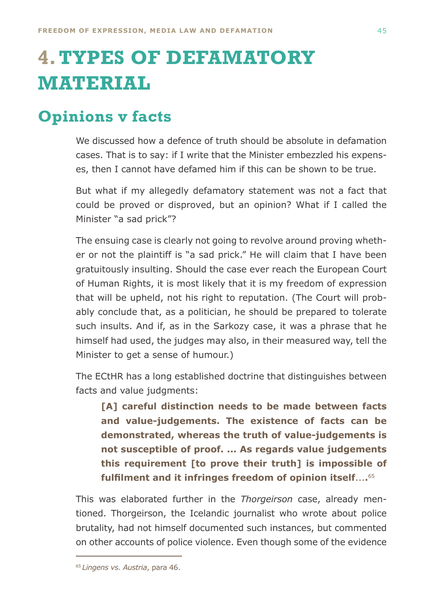# <span id="page-43-0"></span>**4.TYPES OF DEFAMATORY MATERIAL**

# **Opinions v facts**

We discussed how a defence of truth should be absolute in defamation cases. That is to say: if I write that the Minister embezzled his expenses, then I cannot have defamed him if this can be shown to be true.

But what if my allegedly defamatory statement was not a fact that could be proved or disproved, but an opinion? What if I called the Minister "a sad prick"?

The ensuing case is clearly not going to revolve around proving whether or not the plaintiff is "a sad prick." He will claim that I have been gratuitously insulting. Should the case ever reach the European Court of Human Rights, it is most likely that it is my freedom of expression that will be upheld, not his right to reputation. (The Court will probably conclude that, as a politician, he should be prepared to tolerate such insults. And if, as in the Sarkozy case, it was a phrase that he himself had used, the judges may also, in their measured way, tell the Minister to get a sense of humour.)

The ECtHR has a long established doctrine that distinguishes between facts and value judgments:

**[A] careful distinction needs to be made between facts and value-judgements. The existence of facts can be demonstrated, whereas the truth of value-judgements is not susceptible of proof. ... As regards value judgements this requirement [to prove their truth] is impossible of fulfilment and it infringes freedom of opinion itself**...**.**<sup>65</sup>

This was elaborated further in the *Thorgeirson* case, already mentioned. Thorgeirson, the Icelandic journalist who wrote about police brutality, had not himself documented such instances, but commented on other accounts of police violence. Even though some of the evidence

<sup>65</sup>*Lingens vs. Austria*, para 46.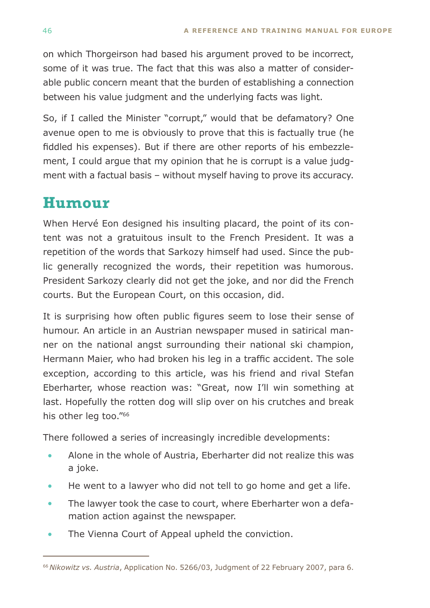<span id="page-44-0"></span>on which Thorgeirson had based his argument proved to be incorrect, some of it was true. The fact that this was also a matter of considerable public concern meant that the burden of establishing a connection between his value judgment and the underlying facts was light.

So, if I called the Minister "corrupt," would that be defamatory? One avenue open to me is obviously to prove that this is factually true (he fiddled his expenses). But if there are other reports of his embezzlement, I could argue that my opinion that he is corrupt is a value judgment with a factual basis – without myself having to prove its accuracy.

# **Humour**

When Hervé Eon designed his insulting placard, the point of its content was not a gratuitous insult to the French President. It was a repetition of the words that Sarkozy himself had used. Since the public generally recognized the words, their repetition was humorous. President Sarkozy clearly did not get the joke, and nor did the French courts. But the European Court, on this occasion, did.

It is surprising how often public figures seem to lose their sense of humour. An article in an Austrian newspaper mused in satirical manner on the national angst surrounding their national ski champion, Hermann Maier, who had broken his leg in a traffic accident. The sole exception, according to this article, was his friend and rival Stefan Eberharter, whose reaction was: "Great, now I'll win something at last. Hopefully the rotten dog will slip over on his crutches and break his other leg too."66

There followed a series of increasingly incredible developments:

- Alone in the whole of Austria, Eberharter did not realize this was a joke. •
- He went to a lawyer who did not tell to go home and get a life. •
- The lawyer took the case to court, where Eberharter won a defamation action against the newspaper. •
- The Vienna Court of Appeal upheld the conviction. •

<sup>66</sup>*Nikowitz vs. Austria*, Application No. 5266/03, Judgment of 22 February 2007, para 6.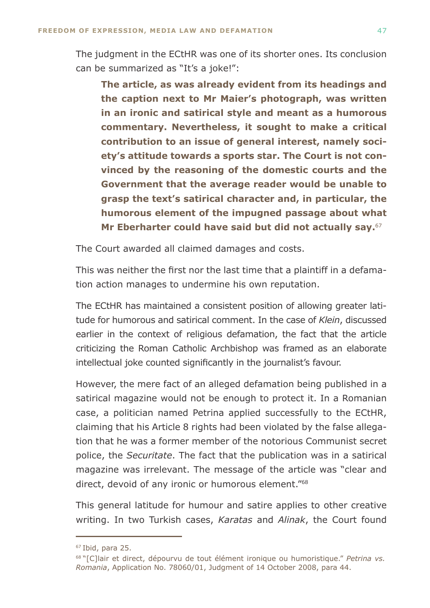The judgment in the ECtHR was one of its shorter ones. Its conclusion can be summarized as "It's a joke!":

**The article, as was already evident from its headings and the caption next to Mr Maier's photograph, was written in an ironic and satirical style and meant as a humorous commentary. Nevertheless, it sought to make a critical contribution to an issue of general interest, namely society's attitude towards a sports star. The Court is not convinced by the reasoning of the domestic courts and the Government that the average reader would be unable to grasp the text's satirical character and, in particular, the humorous element of the impugned passage about what Mr Eberharter could have said but did not actually say.**<sup>67</sup>

The Court awarded all claimed damages and costs.

This was neither the first nor the last time that a plaintiff in a defamation action manages to undermine his own reputation.

The ECtHR has maintained a consistent position of allowing greater latitude for humorous and satirical comment. In the case of *Klein*, discussed earlier in the context of religious defamation, the fact that the article criticizing the Roman Catholic Archbishop was framed as an elaborate intellectual joke counted significantly in the journalist's favour.

However, the mere fact of an alleged defamation being published in a satirical magazine would not be enough to protect it. In a Romanian case, a politician named Petrina applied successfully to the ECtHR, claiming that his Article 8 rights had been violated by the false allegation that he was a former member of the notorious Communist secret police, the *Securitate*. The fact that the publication was in a satirical magazine was irrelevant. The message of the article was "clear and direct, devoid of any ironic or humorous element."68

This general latitude for humour and satire applies to other creative writing. In two Turkish cases, *Karatas* and *Alinak*, the Court found

<sup>67</sup> Ibid, para 25.

<sup>68 &</sup>quot;[C]lair et direct, dépourvu de tout élément ironique ou humoristique." *Petrina vs. Romania*, Application No. 78060/01, Judgment of 14 October 2008, para 44.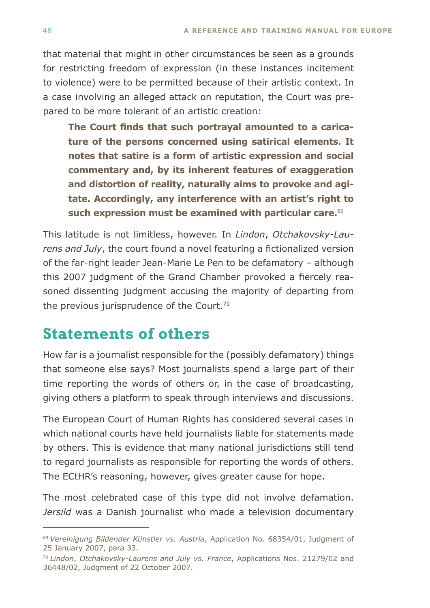<span id="page-46-0"></span>that material that might in other circumstances be seen as a grounds for restricting freedom of expression (in these instances incitement to violence) were to be permitted because of their artistic context. In a case involving an alleged attack on reputation, the Court was prepared to be more tolerant of an artistic creation:

**The Court finds that such portrayal amounted to a caricature of the persons concerned using satirical elements. It notes that satire is a form of artistic expression and social commentary and, by its inherent features of exaggeration and distortion of reality, naturally aims to provoke and agitate. Accordingly, any interference with an artist's right to such expression must be examined with particular care.**<sup>69</sup>

This latitude is not limitless, however. In *Lindon*, *Otchakovsky-Laurens and July*, the court found a novel featuring a fictionalized version of the far-right leader Jean-Marie Le Pen to be defamatory – although this 2007 judgment of the Grand Chamber provoked a fiercely reasoned dissenting judgment accusing the majority of departing from the previous jurisprudence of the Court.<sup>70</sup>

# **Statements of others**

How far is a journalist responsible for the (possibly defamatory) things that someone else says? Most journalists spend a large part of their time reporting the words of others or, in the case of broadcasting, giving others a platform to speak through interviews and discussions.

The European Court of Human Rights has considered several cases in which national courts have held journalists liable for statements made by others. This is evidence that many national jurisdictions still tend to regard journalists as responsible for reporting the words of others. The ECtHR's reasoning, however, gives greater cause for hope.

The most celebrated case of this type did not involve defamation. *Jersild* was a Danish journalist who made a television documentary

<sup>69</sup>*Vereinigung Bildender Künstler vs. Austria*, Application No. 68354/01, Judgment of 25 January 2007, para 33.

<sup>70</sup>*Lindon*, *Otchakovsky-Laurens and July vs. France*, Applications Nos. 21279/02 and 36448/02, Judgment of 22 October 2007.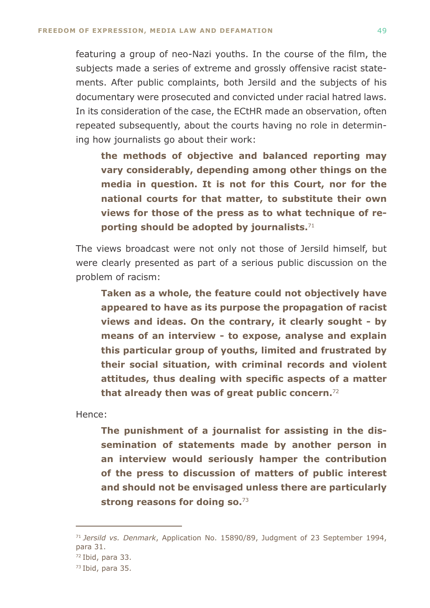featuring a group of neo-Nazi youths. In the course of the film, the subjects made a series of extreme and grossly offensive racist statements. After public complaints, both Jersild and the subjects of his documentary were prosecuted and convicted under racial hatred laws. In its consideration of the case, the ECtHR made an observation, often repeated subsequently, about the courts having no role in determining how journalists go about their work:

**the methods of objective and balanced reporting may vary considerably, depending among other things on the media in question. It is not for this Court, nor for the national courts for that matter, to substitute their own views for those of the press as to what technique of reporting should be adopted by journalists.**<sup>71</sup>

The views broadcast were not only not those of Jersild himself, but were clearly presented as part of a serious public discussion on the problem of racism:

**Taken as a whole, the feature could not objectively have appeared to have as its purpose the propagation of racist views and ideas. On the contrary, it clearly sought - by means of an interview - to expose, analyse and explain this particular group of youths, limited and frustrated by their social situation, with criminal records and violent attitudes, thus dealing with specific aspects of a matter that already then was of great public concern.**<sup>72</sup>

Hence:

**The punishment of a journalist for assisting in the dissemination of statements made by another person in an interview would seriously hamper the contribution of the press to discussion of matters of public interest and should not be envisaged unless there are particularly strong reasons for doing so.**<sup>73</sup>

<sup>71</sup>*Jersild vs. Denmark*, Application No. 15890/89, Judgment of 23 September 1994, para 31.

<sup>72</sup> Ibid, para 33.

<sup>73</sup> Ibid, para 35.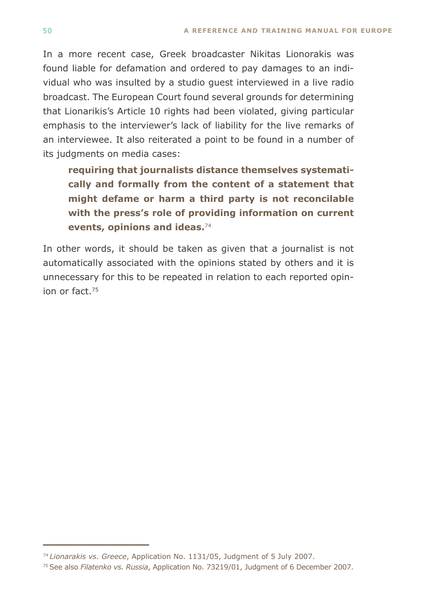In a more recent case, Greek broadcaster Nikitas Lionorakis was found liable for defamation and ordered to pay damages to an individual who was insulted by a studio guest interviewed in a live radio broadcast. The European Court found several grounds for determining that Lionarikis's Article 10 rights had been violated, giving particular emphasis to the interviewer's lack of liability for the live remarks of an interviewee. It also reiterated a point to be found in a number of its judgments on media cases:

**requiring that journalists distance themselves systematically and formally from the content of a statement that might defame or harm a third party is not reconcilable with the press's role of providing information on current events, opinions and ideas.**<sup>74</sup>

In other words, it should be taken as given that a journalist is not automatically associated with the opinions stated by others and it is unnecessary for this to be repeated in relation to each reported opinion or fact.75

<sup>74</sup>*Lionarakis vs. Greece*, Application No. 1131/05, Judgment of 5 July 2007.

<sup>75</sup> See also *Filatenko vs. Russia*, Application No. 73219/01, Judgment of 6 December 2007.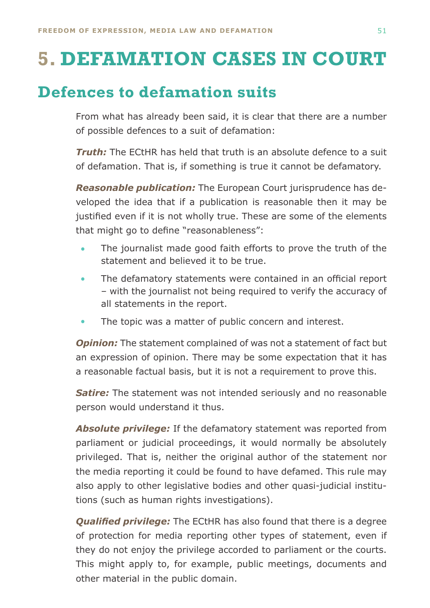# <span id="page-49-0"></span>**5. DEFAMATION CASES IN COURT**

# **Defences to defamation suits**

From what has already been said, it is clear that there are a number of possible defences to a suit of defamation:

*Truth:* The ECtHR has held that truth is an absolute defence to a suit of defamation. That is, if something is true it cannot be defamatory.

*Reasonable publication:* The European Court jurisprudence has developed the idea that if a publication is reasonable then it may be justified even if it is not wholly true. These are some of the elements that might go to define "reasonableness":

- The journalist made good faith efforts to prove the truth of the statement and believed it to be true. •
- The defamatory statements were contained in an official report – with the journalist not being required to verify the accuracy of all statements in the report. •
- The topic was a matter of public concern and interest. •

*Opinion:* The statement complained of was not a statement of fact but an expression of opinion. There may be some expectation that it has a reasonable factual basis, but it is not a requirement to prove this.

*Satire:* The statement was not intended seriously and no reasonable person would understand it thus.

*Absolute privilege:* If the defamatory statement was reported from parliament or judicial proceedings, it would normally be absolutely privileged. That is, neither the original author of the statement nor the media reporting it could be found to have defamed. This rule may also apply to other legislative bodies and other quasi-judicial institutions (such as human rights investigations).

*Qualified privilege:* The ECtHR has also found that there is a degree of protection for media reporting other types of statement, even if they do not enjoy the privilege accorded to parliament or the courts. This might apply to, for example, public meetings, documents and other material in the public domain.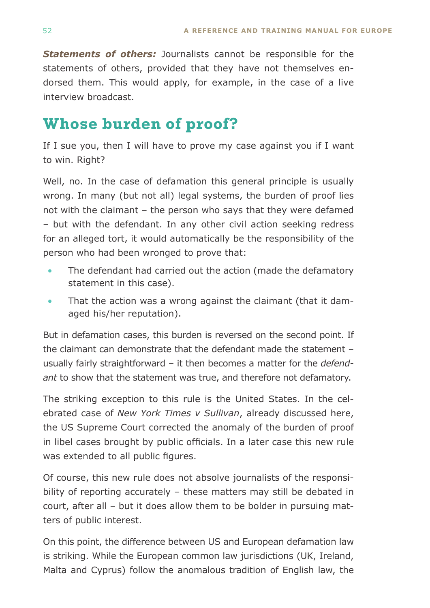<span id="page-50-0"></span>*Statements of others:* Journalists cannot be responsible for the statements of others, provided that they have not themselves endorsed them. This would apply, for example, in the case of a live interview broadcast.

# **Whose burden of proof?**

If I sue you, then I will have to prove my case against you if I want to win. Right?

Well, no. In the case of defamation this general principle is usually wrong. In many (but not all) legal systems, the burden of proof lies not with the claimant – the person who says that they were defamed – but with the defendant. In any other civil action seeking redress for an alleged tort, it would automatically be the responsibility of the person who had been wronged to prove that:

- The defendant had carried out the action (made the defamatory statement in this case). •
- That the action was a wrong against the claimant (that it damaged his/her reputation). •

But in defamation cases, this burden is reversed on the second point. If the claimant can demonstrate that the defendant made the statement – usually fairly straightforward – it then becomes a matter for the *defendant* to show that the statement was true, and therefore not defamatory.

The striking exception to this rule is the United States. In the celebrated case of *New York Times v Sullivan*, already discussed here, the US Supreme Court corrected the anomaly of the burden of proof in libel cases brought by public officials. In a later case this new rule was extended to all public figures.

Of course, this new rule does not absolve journalists of the responsibility of reporting accurately – these matters may still be debated in court, after all – but it does allow them to be bolder in pursuing matters of public interest.

On this point, the difference between US and European defamation law is striking. While the European common law jurisdictions (UK, Ireland, Malta and Cyprus) follow the anomalous tradition of English law, the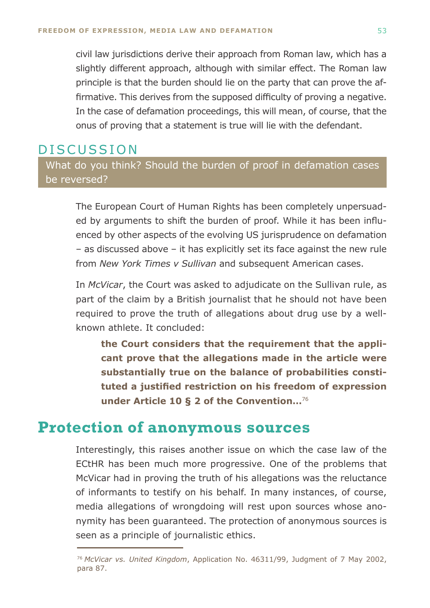<span id="page-51-0"></span>civil law jurisdictions derive their approach from Roman law, which has a slightly different approach, although with similar effect. The Roman law principle is that the burden should lie on the party that can prove the affirmative. This derives from the supposed difficulty of proving a negative. In the case of defamation proceedings, this will mean, of course, that the onus of proving that a statement is true will lie with the defendant.

### Discussion

What do you think? Should the burden of proof in defamation cases be reversed?

The European Court of Human Rights has been completely unpersuaded by arguments to shift the burden of proof. While it has been influenced by other aspects of the evolving US jurisprudence on defamation – as discussed above – it has explicitly set its face against the new rule from *New York Times v Sullivan* and subsequent American cases.

In *McVicar*, the Court was asked to adjudicate on the Sullivan rule, as part of the claim by a British journalist that he should not have been required to prove the truth of allegations about drug use by a wellknown athlete. It concluded:

**the Court considers that the requirement that the applicant prove that the allegations made in the article were substantially true on the balance of probabilities constituted a justified restriction on his freedom of expression under Article 10 § 2 of the Convention…**<sup>76</sup>

### **Protection of anonymous sources**

Interestingly, this raises another issue on which the case law of the ECtHR has been much more progressive. One of the problems that McVicar had in proving the truth of his allegations was the reluctance of informants to testify on his behalf. In many instances, of course, media allegations of wrongdoing will rest upon sources whose anonymity has been guaranteed. The protection of anonymous sources is seen as a principle of journalistic ethics.

<sup>76</sup>*McVicar vs. United Kingdom*, Application No. 46311/99, Judgment of 7 May 2002, para 87.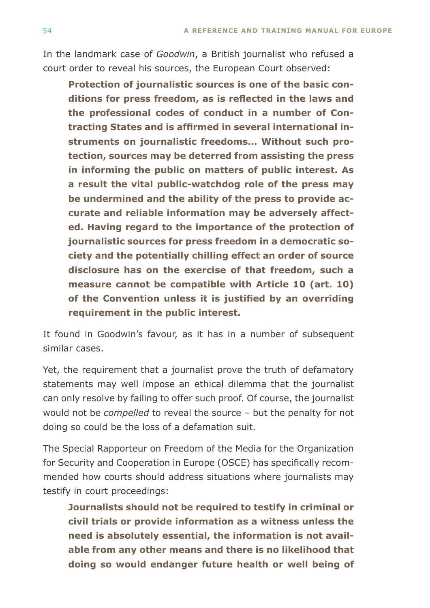In the landmark case of *Goodwin*, a British journalist who refused a court order to reveal his sources, the European Court observed:

**Protection of journalistic sources is one of the basic conditions for press freedom, as is reflected in the laws and the professional codes of conduct in a number of Contracting States and is affirmed in several international instruments on journalistic freedoms… Without such protection, sources may be deterred from assisting the press in informing the public on matters of public interest. As a result the vital public-watchdog role of the press may be undermined and the ability of the press to provide accurate and reliable information may be adversely affected. Having regard to the importance of the protection of journalistic sources for press freedom in a democratic society and the potentially chilling effect an order of source disclosure has on the exercise of that freedom, such a measure cannot be compatible with Article 10 (art. 10) of the Convention unless it is justified by an overriding requirement in the public interest.**

It found in Goodwin's favour, as it has in a number of subsequent similar cases.

Yet, the requirement that a journalist prove the truth of defamatory statements may well impose an ethical dilemma that the journalist can only resolve by failing to offer such proof. Of course, the journalist would not be *compelled* to reveal the source – but the penalty for not doing so could be the loss of a defamation suit.

The Special Rapporteur on Freedom of the Media for the Organization for Security and Cooperation in Europe (OSCE) has specifically recommended how courts should address situations where journalists may testify in court proceedings:

**Journalists should not be required to testify in criminal or civil trials or provide information as a witness unless the need is absolutely essential, the information is not available from any other means and there is no likelihood that doing so would endanger future health or well being of**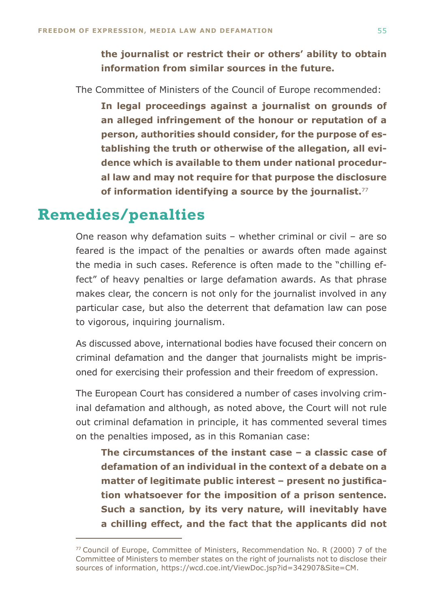<span id="page-53-0"></span>**the journalist or restrict their or others' ability to obtain information from similar sources in the future.**

The Committee of Ministers of the Council of Europe recommended:

**In legal proceedings against a journalist on grounds of an alleged infringement of the honour or reputation of a person, authorities should consider, for the purpose of establishing the truth or otherwise of the allegation, all evidence which is available to them under national procedural law and may not require for that purpose the disclosure of information identifying a source by the journalist.**<sup>77</sup>

## **Remedies/penalties**

One reason why defamation suits – whether criminal or civil – are so feared is the impact of the penalties or awards often made against the media in such cases. Reference is often made to the "chilling effect" of heavy penalties or large defamation awards. As that phrase makes clear, the concern is not only for the journalist involved in any particular case, but also the deterrent that defamation law can pose to vigorous, inquiring journalism.

As discussed above, international bodies have focused their concern on criminal defamation and the danger that journalists might be imprisoned for exercising their profession and their freedom of expression.

The European Court has considered a number of cases involving criminal defamation and although, as noted above, the Court will not rule out criminal defamation in principle, it has commented several times on the penalties imposed, as in this Romanian case:

**The circumstances of the instant case – a classic case of defamation of an individual in the context of a debate on a matter of legitimate public interest – present no justification whatsoever for the imposition of a prison sentence. Such a sanction, by its very nature, will inevitably have a chilling effect, and the fact that the applicants did not** 

<sup>77</sup>Council of Europe, Committee of Ministers, Recommendation No. R (2000) 7 of the Committee of Ministers to member states on the right of journalists not to disclose their sources of information, https://wcd.coe.int/ViewDoc.jsp?id=342907&Site=CM.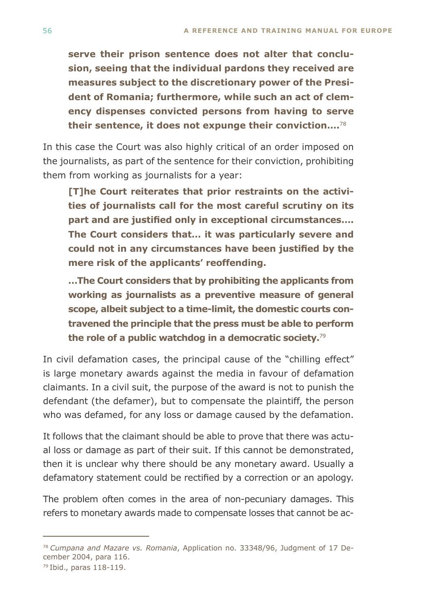**serve their prison sentence does not alter that conclusion, seeing that the individual pardons they received are measures subject to the discretionary power of the President of Romania; furthermore, while such an act of clemency dispenses convicted persons from having to serve their sentence, it does not expunge their conviction….**<sup>78</sup>

In this case the Court was also highly critical of an order imposed on the journalists, as part of the sentence for their conviction, prohibiting them from working as journalists for a year:

**[T]he Court reiterates that prior restraints on the activities of journalists call for the most careful scrutiny on its part and are justified only in exceptional circumstances…. The Court considers that… it was particularly severe and could not in any circumstances have been justified by the mere risk of the applicants' reoffending.**

**…The Court considers that by prohibiting the applicants from working as journalists as a preventive measure of general scope, albeit subject to a time-limit, the domestic courts contravened the principle that the press must be able to perform the role of a public watchdog in a democratic society.**<sup>79</sup>

In civil defamation cases, the principal cause of the "chilling effect" is large monetary awards against the media in favour of defamation claimants. In a civil suit, the purpose of the award is not to punish the defendant (the defamer), but to compensate the plaintiff, the person who was defamed, for any loss or damage caused by the defamation.

It follows that the claimant should be able to prove that there was actual loss or damage as part of their suit. If this cannot be demonstrated, then it is unclear why there should be any monetary award. Usually a defamatory statement could be rectified by a correction or an apology.

The problem often comes in the area of non-pecuniary damages. This refers to monetary awards made to compensate losses that cannot be ac-

78 *Cumpana and Mazare vs. Romania*, Application no. 33348/96, Judgment of 17 December 2004, para 116.

79 Ibid., paras 118-119.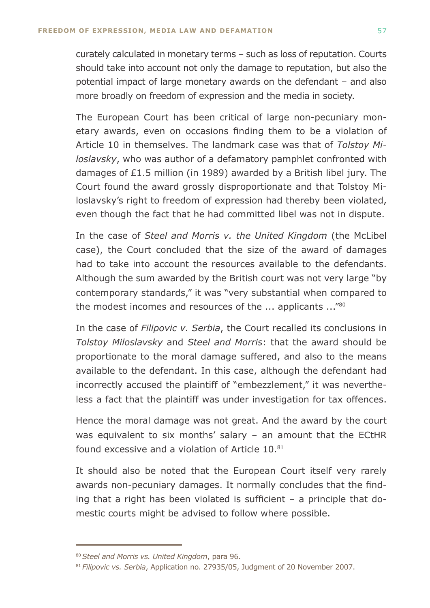curately calculated in monetary terms – such as loss of reputation. Courts should take into account not only the damage to reputation, but also the potential impact of large monetary awards on the defendant – and also more broadly on freedom of expression and the media in society.

The European Court has been critical of large non-pecuniary monetary awards, even on occasions finding them to be a violation of Article 10 in themselves. The landmark case was that of *Tolstoy Miloslavsky*, who was author of a defamatory pamphlet confronted with damages of £1.5 million (in 1989) awarded by a British libel jury. The Court found the award grossly disproportionate and that Tolstoy Miloslavsky's right to freedom of expression had thereby been violated, even though the fact that he had committed libel was not in dispute.

In the case of *Steel and Morris v. the United Kingdom* (the McLibel case), the Court concluded that the size of the award of damages had to take into account the resources available to the defendants. Although the sum awarded by the British court was not very large "by contemporary standards," it was "very substantial when compared to the modest incomes and resources of the ... applicants ...<sup>"80</sup>

In the case of *Filipovic v. Serbia*, the Court recalled its conclusions in *Tolstoy Miloslavsky* and *Steel and Morris*: that the award should be proportionate to the moral damage suffered, and also to the means available to the defendant. In this case, although the defendant had incorrectly accused the plaintiff of "embezzlement," it was nevertheless a fact that the plaintiff was under investigation for tax offences.

Hence the moral damage was not great. And the award by the court was equivalent to six months' salary – an amount that the ECtHR found excessive and a violation of Article 10.81

It should also be noted that the European Court itself very rarely awards non-pecuniary damages. It normally concludes that the finding that a right has been violated is sufficient – a principle that domestic courts might be advised to follow where possible.

<sup>80</sup>*Steel and Morris vs. United Kingdom*, para 96.

<sup>81</sup>*Filipovic vs. Serbia*, Application no. 27935/05, Judgment of 20 November 2007.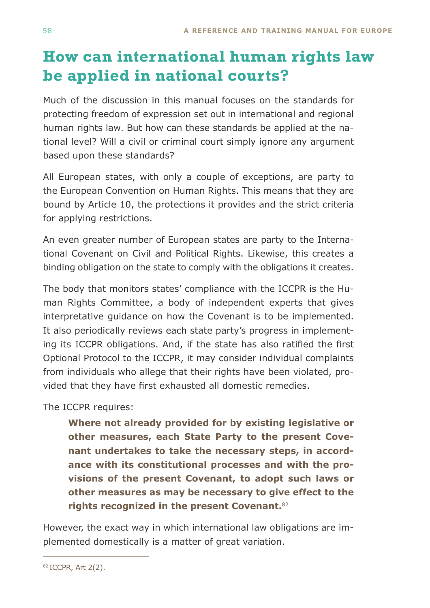# <span id="page-56-0"></span>**How can international human rights law be applied in national courts?**

Much of the discussion in this manual focuses on the standards for protecting freedom of expression set out in international and regional human rights law. But how can these standards be applied at the national level? Will a civil or criminal court simply ignore any argument based upon these standards?

All European states, with only a couple of exceptions, are party to the European Convention on Human Rights. This means that they are bound by Article 10, the protections it provides and the strict criteria for applying restrictions.

An even greater number of European states are party to the International Covenant on Civil and Political Rights. Likewise, this creates a binding obligation on the state to comply with the obligations it creates.

The body that monitors states' compliance with the ICCPR is the Human Rights Committee, a body of independent experts that gives interpretative guidance on how the Covenant is to be implemented. It also periodically reviews each state party's progress in implementing its ICCPR obligations. And, if the state has also ratified the first Optional Protocol to the ICCPR, it may consider individual complaints from individuals who allege that their rights have been violated, provided that they have first exhausted all domestic remedies.

The ICCPR requires:

**Where not already provided for by existing legislative or other measures, each State Party to the present Covenant undertakes to take the necessary steps, in accordance with its constitutional processes and with the provisions of the present Covenant, to adopt such laws or other measures as may be necessary to give effect to the rights recognized in the present Covenant.**<sup>82</sup>

However, the exact way in which international law obligations are implemented domestically is a matter of great variation.

<sup>82</sup>ICCPR, Art 2(2).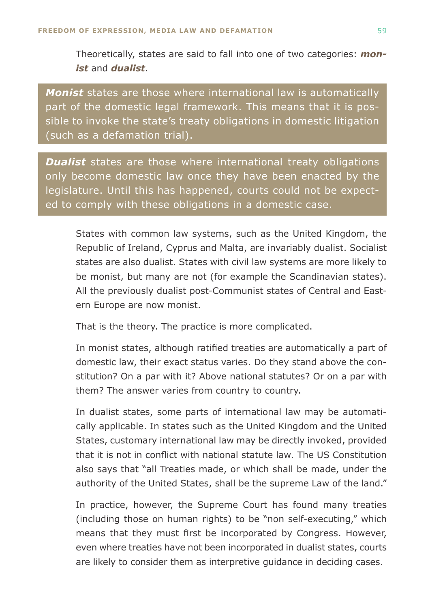Theoretically, states are said to fall into one of two categories: *monist* and *dualist*.

*Monist* states are those where international law is automatically part of the domestic legal framework. This means that it is possible to invoke the state's treaty obligations in domestic litigation (such as a defamation trial).

*Dualist* states are those where international treaty obligations only become domestic law once they have been enacted by the legislature. Until this has happened, courts could not be expected to comply with these obligations in a domestic case.

States with common law systems, such as the United Kingdom, the Republic of Ireland, Cyprus and Malta, are invariably dualist. Socialist states are also dualist. States with civil law systems are more likely to be monist, but many are not (for example the Scandinavian states). All the previously dualist post-Communist states of Central and Eastern Europe are now monist.

That is the theory. The practice is more complicated.

In monist states, although ratified treaties are automatically a part of domestic law, their exact status varies. Do they stand above the constitution? On a par with it? Above national statutes? Or on a par with them? The answer varies from country to country.

In dualist states, some parts of international law may be automatically applicable. In states such as the United Kingdom and the United States, customary international law may be directly invoked, provided that it is not in conflict with national statute law. The US Constitution also says that "all Treaties made, or which shall be made, under the authority of the United States, shall be the supreme Law of the land."

In practice, however, the Supreme Court has found many treaties (including those on human rights) to be "non self-executing," which means that they must first be incorporated by Congress. However, even where treaties have not been incorporated in dualist states, courts are likely to consider them as interpretive guidance in deciding cases.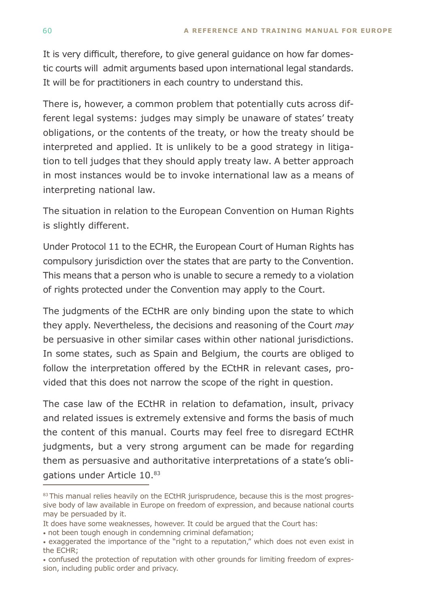It is very difficult, therefore, to give general guidance on how far domestic courts will admit arguments based upon international legal standards. It will be for practitioners in each country to understand this.

There is, however, a common problem that potentially cuts across different legal systems: judges may simply be unaware of states' treaty obligations, or the contents of the treaty, or how the treaty should be interpreted and applied. It is unlikely to be a good strategy in litigation to tell judges that they should apply treaty law. A better approach in most instances would be to invoke international law as a means of interpreting national law.

The situation in relation to the European Convention on Human Rights is slightly different.

Under Protocol 11 to the ECHR, the European Court of Human Rights has compulsory jurisdiction over the states that are party to the Convention. This means that a person who is unable to secure a remedy to a violation of rights protected under the Convention may apply to the Court.

The judgments of the ECtHR are only binding upon the state to which they apply. Nevertheless, the decisions and reasoning of the Court *may* be persuasive in other similar cases within other national jurisdictions. In some states, such as Spain and Belgium, the courts are obliged to follow the interpretation offered by the ECtHR in relevant cases, provided that this does not narrow the scope of the right in question.

The case law of the ECtHR in relation to defamation, insult, privacy and related issues is extremely extensive and forms the basis of much the content of this manual. Courts may feel free to disregard ECtHR judgments, but a very strong argument can be made for regarding them as persuasive and authoritative interpretations of a state's obligations under Article 10.83

<sup>83</sup> This manual relies heavily on the ECtHR jurisprudence, because this is the most progressive body of law available in Europe on freedom of expression, and because national courts may be persuaded by it.

It does have some weaknesses, however. It could be argued that the Court has:

<sup>•</sup> not been tough enough in condemning criminal defamation;

<sup>•</sup> exaggerated the importance of the "right to a reputation," which does not even exist in the ECHR;

<sup>•</sup> confused the protection of reputation with other grounds for limiting freedom of expression, including public order and privacy.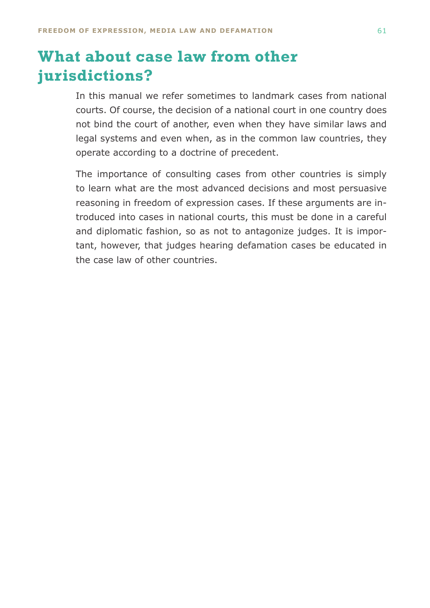# <span id="page-59-0"></span>**What about case law from other jurisdictions?**

In this manual we refer sometimes to landmark cases from national courts. Of course, the decision of a national court in one country does not bind the court of another, even when they have similar laws and legal systems and even when, as in the common law countries, they operate according to a doctrine of precedent.

The importance of consulting cases from other countries is simply to learn what are the most advanced decisions and most persuasive reasoning in freedom of expression cases. If these arguments are introduced into cases in national courts, this must be done in a careful and diplomatic fashion, so as not to antagonize judges. It is important, however, that judges hearing defamation cases be educated in the case law of other countries.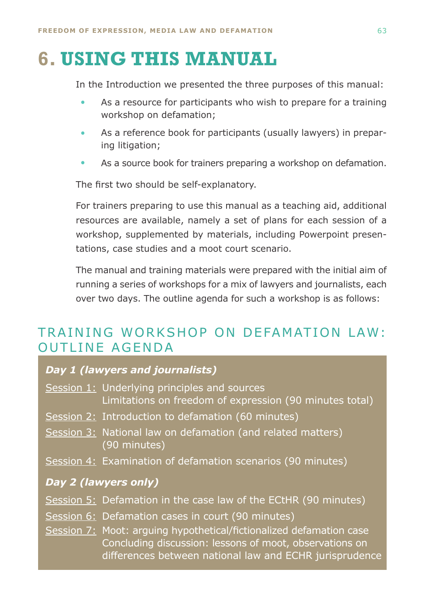# <span id="page-60-0"></span>**6. USING THIS MANUAL**

In the Introduction we presented the three purposes of this manual:

- As a resource for participants who wish to prepare for a training workshop on defamation; •
- As a reference book for participants (usually lawyers) in preparing litigation; •
- As a source book for trainers preparing a workshop on defamation. •

The first two should be self-explanatory.

For trainers preparing to use this manual as a teaching aid, additional resources are available, namely a set of plans for each session of a workshop, supplemented by materials, including Powerpoint presentations, case studies and a moot court scenario.

The manual and training materials were prepared with the initial aim of running a series of workshops for a mix of lawyers and journalists, each over two days. The outline agenda for such a workshop is as follows:

### TRAINING WORKSHOP ON DEFAMATION LAW: OUTLINE AGENDA

### *Day 1 (lawyers and journalists)*

- Session 1: Underlying principles and sources Limitations on freedom of expression (90 minutes total)
- Session 2: Introduction to defamation (60 minutes)
- Session 3: National law on defamation (and related matters) (90 minutes)
- Session 4: Examination of defamation scenarios (90 minutes)

#### *Day 2 (lawyers only)*

- Session 5: Defamation in the case law of the ECtHR (90 minutes)
- Session 6: Defamation cases in court (90 minutes)
- Session 7: Moot: arguing hypothetical/fictionalized defamation case Concluding discussion: lessons of moot, observations on differences between national law and ECHR jurisprudence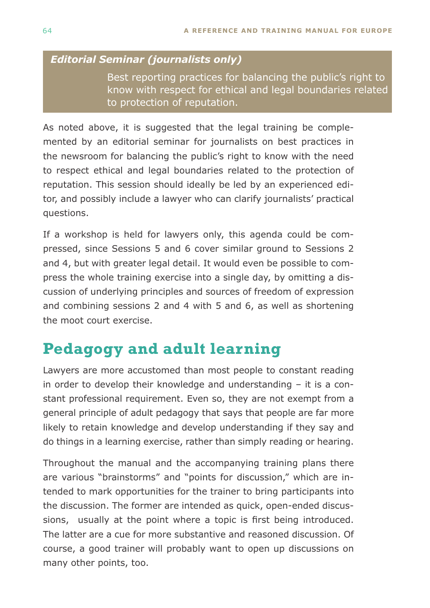### <span id="page-61-0"></span>*Editorial Seminar (journalists only)*

 Best reporting practices for balancing the public's right to know with respect for ethical and legal boundaries related to protection of reputation.

As noted above, it is suggested that the legal training be complemented by an editorial seminar for journalists on best practices in the newsroom for balancing the public's right to know with the need to respect ethical and legal boundaries related to the protection of reputation. This session should ideally be led by an experienced editor, and possibly include a lawyer who can clarify journalists' practical questions.

If a workshop is held for lawyers only, this agenda could be compressed, since Sessions 5 and 6 cover similar ground to Sessions 2 and 4, but with greater legal detail. It would even be possible to compress the whole training exercise into a single day, by omitting a discussion of underlying principles and sources of freedom of expression and combining sessions 2 and 4 with 5 and 6, as well as shortening the moot court exercise.

# **Pedagogy and adult learning**

Lawyers are more accustomed than most people to constant reading in order to develop their knowledge and understanding – it is a constant professional requirement. Even so, they are not exempt from a general principle of adult pedagogy that says that people are far more likely to retain knowledge and develop understanding if they say and do things in a learning exercise, rather than simply reading or hearing.

Throughout the manual and the accompanying training plans there are various "brainstorms" and "points for discussion," which are intended to mark opportunities for the trainer to bring participants into the discussion. The former are intended as quick, open-ended discussions, usually at the point where a topic is first being introduced. The latter are a cue for more substantive and reasoned discussion. Of course, a good trainer will probably want to open up discussions on many other points, too.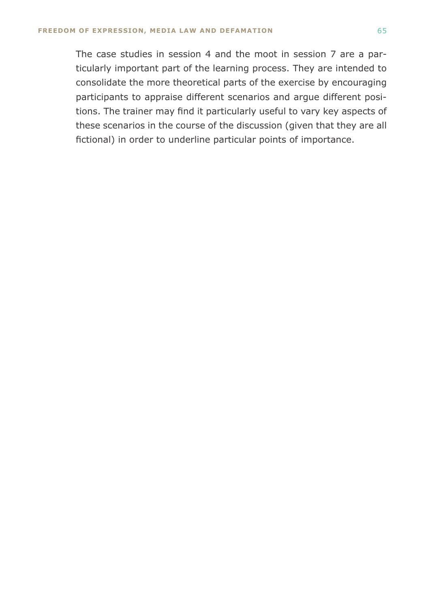The case studies in session 4 and the moot in session 7 are a particularly important part of the learning process. They are intended to consolidate the more theoretical parts of the exercise by encouraging participants to appraise different scenarios and argue different positions. The trainer may find it particularly useful to vary key aspects of these scenarios in the course of the discussion (given that they are all fictional) in order to underline particular points of importance.